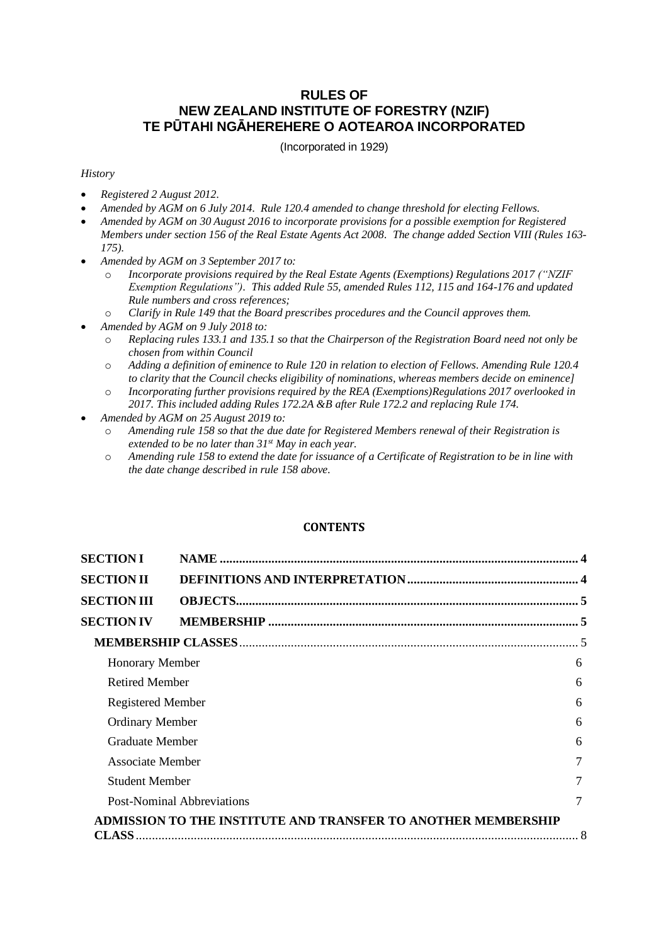# **RULES OF NEW ZEALAND INSTITUTE OF FORESTRY (NZIF) TE PŪTAHI NGĀHEREHERE O AOTEAROA INCORPORATED**

(Incorporated in 1929)

### *History*

- *Registered 2 August 2012.*
- *Amended by AGM on 6 July 2014. Rule 120.4 amended to change threshold for electing Fellows.*
- *Amended by AGM on 30 August 2016 to incorporate provisions for a possible exemption for Registered Members under section 156 of the Real Estate Agents Act 2008. The change added Section VIII (Rules 163- 175).*
- *Amended by AGM on 3 September 2017 to:*
	- o *Incorporate provisions required by the Real Estate Agents (Exemptions) Regulations 2017 ("NZIF Exemption Regulations"). This added Rule 55, amended Rules 112, 115 and 164-176 and updated Rule numbers and cross references;*
	- o *Clarify in Rule 149 that the Board prescribes procedures and the Council approves them.*
- *Amended by AGM on 9 July 2018 to:*
	- o *Replacing rules 133.1 and 135.1 so that the Chairperson of the Registration Board need not only be chosen from within Council*
	- o *Adding a definition of eminence to Rule 120 in relation to election of Fellows. Amending Rule 120.4 to clarity that the Council checks eligibility of nominations, whereas members decide on eminence]*
	- o *Incorporating further provisions required by the REA (Exemptions)Regulations 2017 overlooked in 2017. This included adding Rules 172.2A &B after Rule 172.2 and replacing Rule 174.*
- *Amended by AGM on 25 August 2019 to:*
	- o *Amending rule 158 so that the due date for Registered Members renewal of their Registration is extended to be no later than 31st May in each year.*
	- o *Amending rule 158 to extend the date for issuance of a Certificate of Registration to be in line with the date change described in rule 158 above.*

### **CONTENTS**

| <b>SECTION I</b>       |                                                               |   |
|------------------------|---------------------------------------------------------------|---|
| <b>SECTION II</b>      |                                                               |   |
| <b>SECTION III</b>     |                                                               |   |
| <b>SECTION IV</b>      |                                                               |   |
|                        |                                                               |   |
| <b>Honorary Member</b> |                                                               | 6 |
| <b>Retired Member</b>  |                                                               | 6 |
| Registered Member      |                                                               | 6 |
| <b>Ordinary Member</b> |                                                               | 6 |
| <b>Graduate Member</b> |                                                               | 6 |
| Associate Member       |                                                               | 7 |
| <b>Student Member</b>  |                                                               | 7 |
|                        | <b>Post-Nominal Abbreviations</b>                             | 7 |
|                        | ADMISSION TO THE INSTITUTE AND TRANSFER TO ANOTHER MEMBERSHIP |   |
| <b>CLASS</b>           |                                                               |   |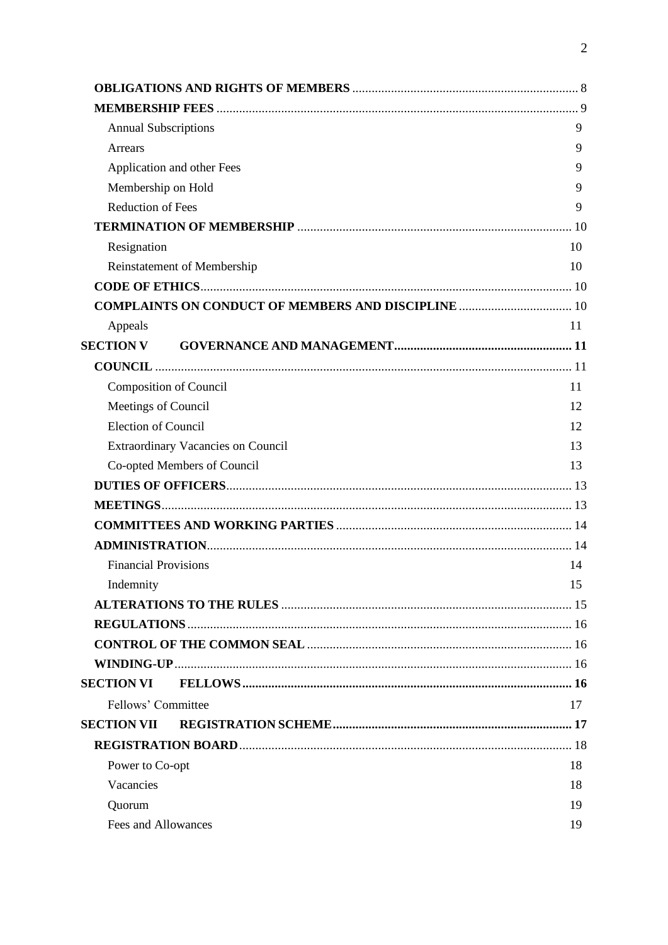| <b>Annual Subscriptions</b>                                | 9  |
|------------------------------------------------------------|----|
| Arrears                                                    | 9  |
| Application and other Fees                                 | 9  |
| Membership on Hold                                         | 9  |
| <b>Reduction of Fees</b>                                   | 9  |
|                                                            |    |
| Resignation                                                | 10 |
| Reinstatement of Membership                                | 10 |
|                                                            |    |
| <b>COMPLAINTS ON CONDUCT OF MEMBERS AND DISCIPLINE  10</b> |    |
| Appeals                                                    | 11 |
| <b>SECTION V</b>                                           |    |
|                                                            |    |
| <b>Composition of Council</b>                              | 11 |
| Meetings of Council                                        | 12 |
| <b>Election of Council</b>                                 | 12 |
| <b>Extraordinary Vacancies on Council</b>                  | 13 |
| Co-opted Members of Council                                | 13 |
|                                                            |    |
|                                                            |    |
|                                                            |    |
|                                                            |    |
| <b>Financial Provisions</b>                                | 14 |
| Indemnity                                                  | 15 |
|                                                            |    |
|                                                            |    |
|                                                            |    |
|                                                            |    |
| <b>SECTION VI</b>                                          |    |
| Fellows' Committee                                         | 17 |
| <b>SECTION VII</b>                                         |    |
|                                                            |    |
| Power to Co-opt                                            | 18 |
| Vacancies                                                  | 18 |
| Quorum                                                     | 19 |
| Fees and Allowances                                        | 19 |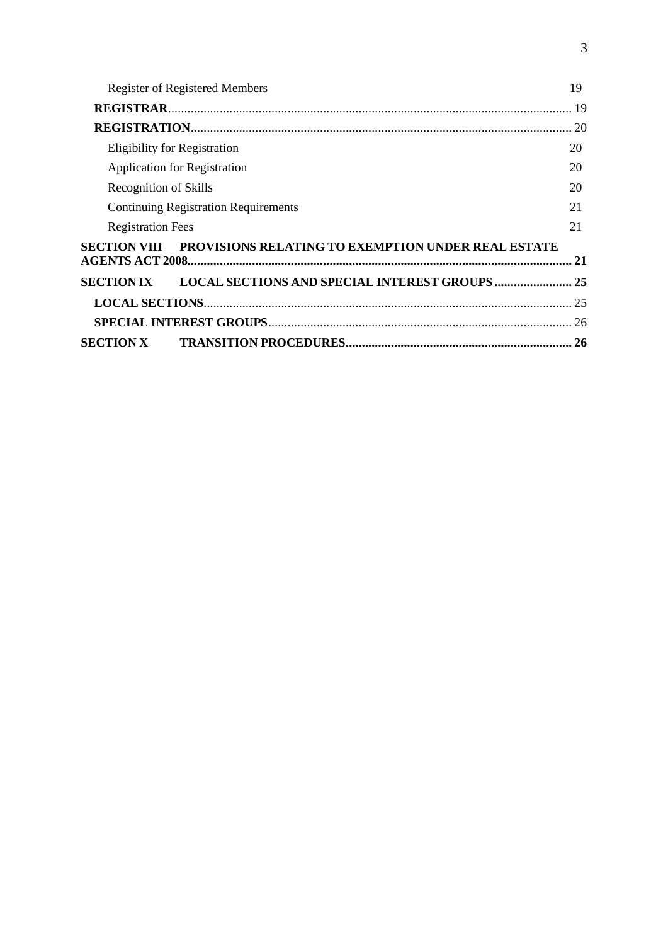| <b>Register of Registered Members</b>       | 19        |
|---------------------------------------------|-----------|
|                                             |           |
|                                             |           |
| <b>Eligibility for Registration</b>         | 20        |
| Application for Registration                | 20        |
| Recognition of Skills                       |           |
| <b>Continuing Registration Requirements</b> | 21        |
| <b>Registration Fees</b>                    | 21        |
|                                             | 21        |
|                                             |           |
|                                             |           |
|                                             |           |
|                                             | <b>26</b> |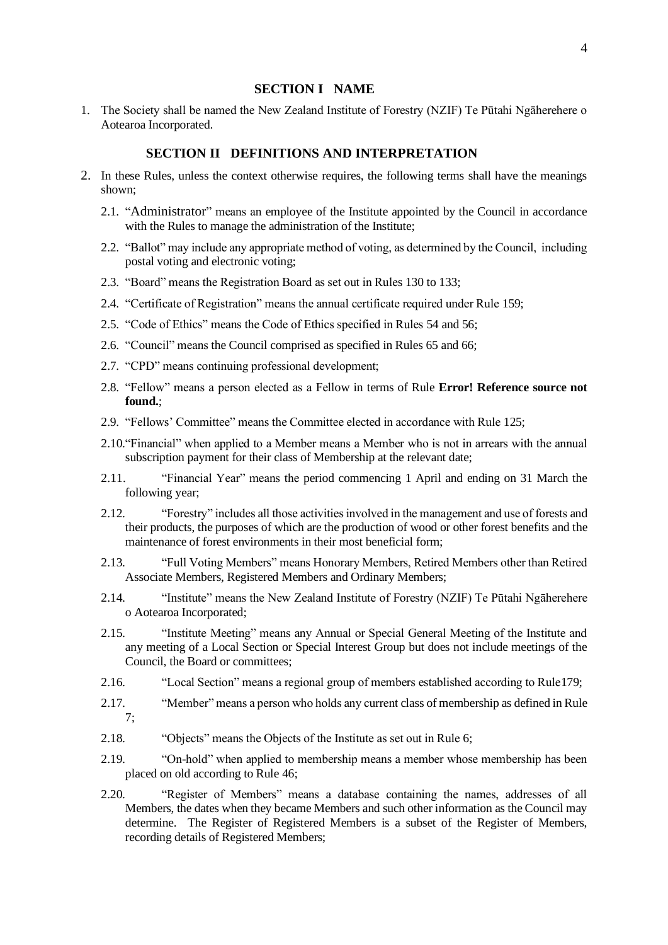# **SECTION I NAME**

<span id="page-3-0"></span>1. The Society shall be named the New Zealand Institute of Forestry (NZIF) Te Pūtahi Ngāherehere o Aotearoa Incorporated.

# **SECTION II DEFINITIONS AND INTERPRETATION**

- <span id="page-3-1"></span>2. In these Rules, unless the context otherwise requires, the following terms shall have the meanings shown;
	- 2.1. "Administrator" means an employee of the Institute appointed by the Council in accordance with the Rules to manage the administration of the Institute;
	- 2.2. "Ballot" may include any appropriate method of voting, as determined by the Council, including postal voting and electronic voting;
	- 2.3. "Board" means the Registration Board as set out in Rules [130](#page-17-3) to [133;](#page-17-4)
	- 2.4. "Certificate of Registration" means the annual certificate required under Rule [159;](#page-20-3)
	- 2.5. "Code of Ethics" means the Code of Ethics specified in Rules [54](#page-9-5) and [56;](#page-9-6)
	- 2.6. "Council" means the Council comprised as specified in Rules [65](#page-10-4) and [66;](#page-10-5)
	- 2.7. "CPD" means continuing professional development;
	- 2.8. "Fellow" means a person elected as a Fellow in terms of Rule **Error! Reference source not found.**;
	- 2.9. "Fellows' Committee" means the Committee elected in accordance with Rule [125;](#page-16-2)
	- 2.10."Financial" when applied to a Member means a Member who is not in arrears with the annual subscription payment for their class of Membership at the relevant date;
	- 2.11. "Financial Year" means the period commencing 1 April and ending on 31 March the following year;
	- 2.12. "Forestry" includes all those activities involved in the management and use of forests and their products, the purposes of which are the production of wood or other forest benefits and the maintenance of forest environments in their most beneficial form;
	- 2.13. "Full Voting Members" means Honorary Members, Retired Members other than Retired Associate Members, Registered Members and Ordinary Members;
	- 2.14. "Institute" means the New Zealand Institute of Forestry (NZIF) Te Pūtahi Ngāherehere o Aotearoa Incorporated;
	- 2.15. "Institute Meeting" means any Annual or Special General Meeting of the Institute and any meeting of a Local Section or Special Interest Group but does not include meetings of the Council, the Board or committees;
	- 2.16. "Local Section" means a regional group of members established according to Rul[e179;](#page-24-2)
	- 2.17. "Member" means a person who holds any current class of membership as defined in Rule [7;](#page-4-3)
	- 2.18. "Objects" means the Objects of the Institute as set out in Rule [6;](#page-4-4)
	- 2.19. "On-hold" when applied to membership means a member whose membership has been placed on old according to Rule [46;](#page-8-6)
	- 2.20. "Register of Members" means a database containing the names, addresses of all Members, the dates when they became Members and such other information as the Council may determine. The Register of Registered Members is a subset of the Register of Members, recording details of Registered Members;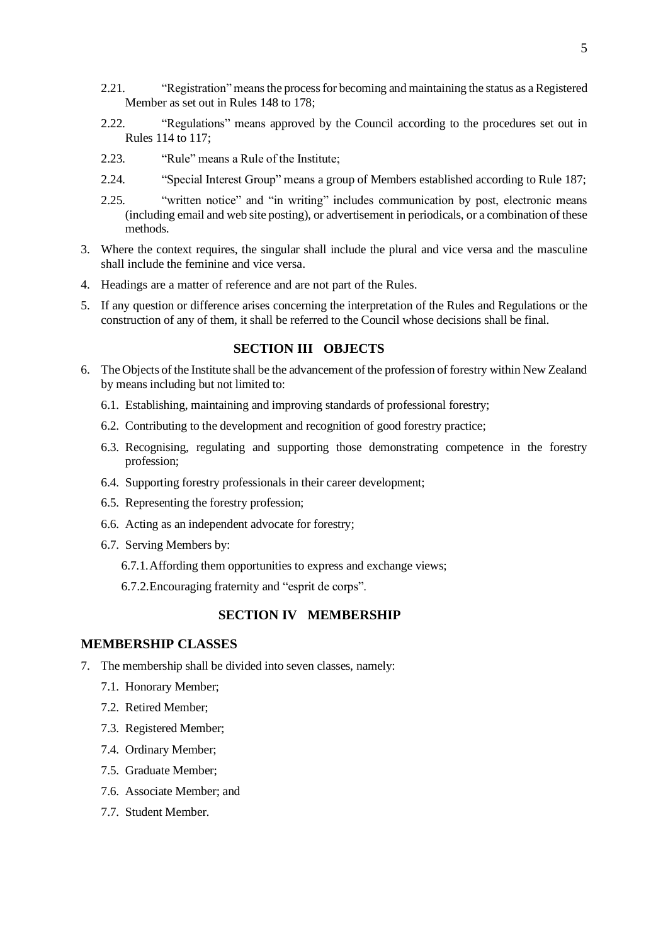- 2.21. "Registration" means the process for becoming and maintaining the status as a Registered Member as set out in Rule[s 148](#page-19-4) t[o 178;](#page-24-3)
- 2.22. "Regulations" means approved by the Council according to the procedures set out in Rules [114](#page-15-4) t[o 117;](#page-15-5)
- 2.23. "Rule" means a Rule of the Institute;
- 2.24. "Special Interest Group" means a group of Members established according to Rule [187;](#page-25-2)
- 2.25. "written notice" and "in writing" includes communication by post, electronic means (including email and web site posting), or advertisement in periodicals, or a combination of these methods.
- 3. Where the context requires, the singular shall include the plural and vice versa and the masculine shall include the feminine and vice versa.
- 4. Headings are a matter of reference and are not part of the Rules.
- 5. If any question or difference arises concerning the interpretation of the Rules and Regulations or the construction of any of them, it shall be referred to the Council whose decisions shall be final.

# **SECTION III OBJECTS**

- <span id="page-4-4"></span><span id="page-4-0"></span>6. The Objects of the Institute shall be the advancement of the profession of forestry within New Zealand by means including but not limited to:
	- 6.1. Establishing, maintaining and improving standards of professional forestry;
	- 6.2. Contributing to the development and recognition of good forestry practice;
	- 6.3. Recognising, regulating and supporting those demonstrating competence in the forestry profession;
	- 6.4. Supporting forestry professionals in their career development;
	- 6.5. Representing the forestry profession;
	- 6.6. Acting as an independent advocate for forestry;
	- 6.7. Serving Members by:
		- 6.7.1.Affording them opportunities to express and exchange views;
		- 6.7.2.Encouraging fraternity and "esprit de corps".

## **SECTION IV MEMBERSHIP**

## <span id="page-4-2"></span><span id="page-4-1"></span>**MEMBERSHIP CLASSES**

- <span id="page-4-3"></span>7. The membership shall be divided into seven classes, namely:
	- 7.1. Honorary Member;
	- 7.2. Retired Member;
	- 7.3. Registered Member;
	- 7.4. Ordinary Member;
	- 7.5. Graduate Member;
	- 7.6. Associate Member; and
	- 7.7. Student Member.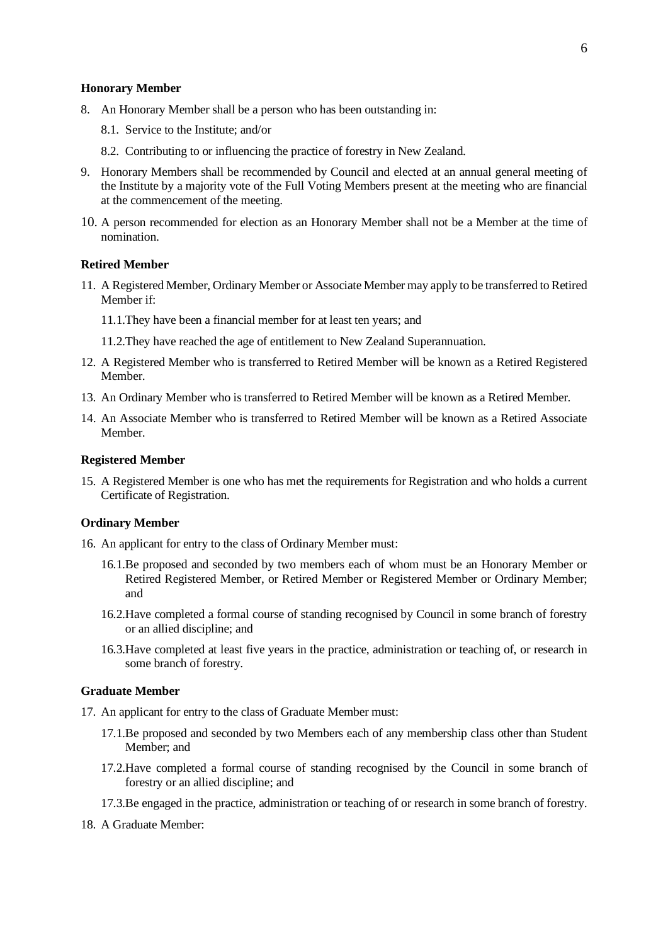#### <span id="page-5-0"></span>**Honorary Member**

- 8. An Honorary Member shall be a person who has been outstanding in:
	- 8.1. Service to the Institute; and/or
	- 8.2. Contributing to or influencing the practice of forestry in New Zealand.
- 9. Honorary Members shall be recommended by Council and elected at an annual general meeting of the Institute by a majority vote of the Full Voting Members present at the meeting who are financial at the commencement of the meeting.
- 10. A person recommended for election as an Honorary Member shall not be a Member at the time of nomination.

### <span id="page-5-1"></span>**Retired Member**

- 11. A Registered Member, Ordinary Member or Associate Member may apply to be transferred to Retired Member if:
	- 11.1.They have been a financial member for at least ten years; and
	- 11.2.They have reached the age of entitlement to New Zealand Superannuation.
- 12. A Registered Member who is transferred to Retired Member will be known as a Retired Registered Member.
- 13. An Ordinary Member who is transferred to Retired Member will be known as a Retired Member.
- 14. An Associate Member who is transferred to Retired Member will be known as a Retired Associate Member.

### <span id="page-5-2"></span>**Registered Member**

15. A Registered Member is one who has met the requirements for Registration and who holds a current Certificate of Registration.

#### <span id="page-5-3"></span>**Ordinary Member**

- 16. An applicant for entry to the class of Ordinary Member must:
	- 16.1.Be proposed and seconded by two members each of whom must be an Honorary Member or Retired Registered Member, or Retired Member or Registered Member or Ordinary Member; and
	- 16.2.Have completed a formal course of standing recognised by Council in some branch of forestry or an allied discipline; and
	- 16.3.Have completed at least five years in the practice, administration or teaching of, or research in some branch of forestry.

#### <span id="page-5-4"></span>**Graduate Member**

- 17. An applicant for entry to the class of Graduate Member must:
	- 17.1.Be proposed and seconded by two Members each of any membership class other than Student Member; and
	- 17.2.Have completed a formal course of standing recognised by the Council in some branch of forestry or an allied discipline; and
	- 17.3.Be engaged in the practice, administration or teaching of or research in some branch of forestry.
- 18. A Graduate Member: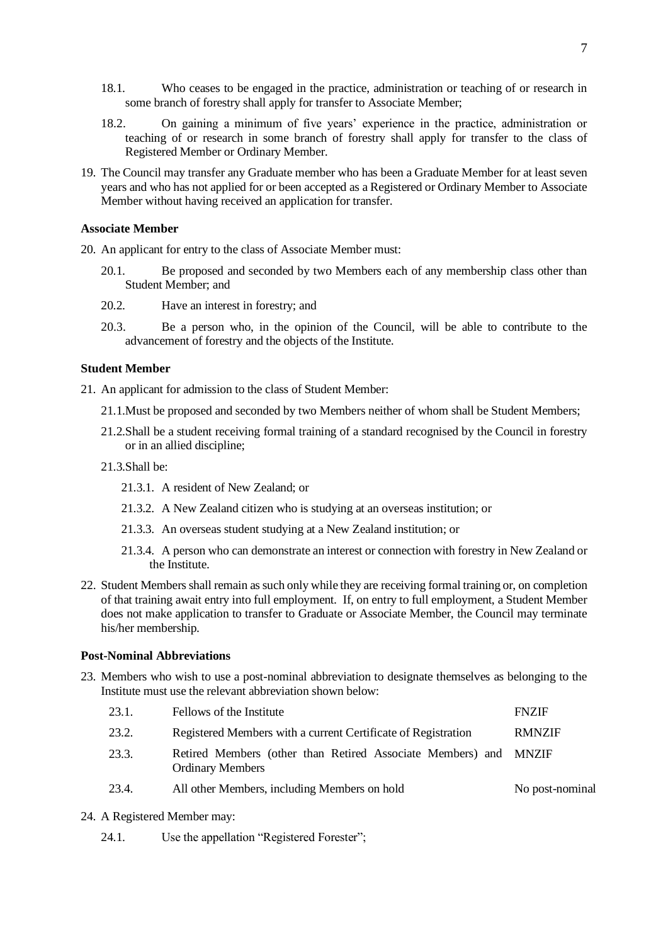- 18.1. Who ceases to be engaged in the practice, administration or teaching of or research in some branch of forestry shall apply for transfer to Associate Member;
- 18.2. On gaining a minimum of five years' experience in the practice, administration or teaching of or research in some branch of forestry shall apply for transfer to the class of Registered Member or Ordinary Member.
- 19. The Council may transfer any Graduate member who has been a Graduate Member for at least seven years and who has not applied for or been accepted as a Registered or Ordinary Member to Associate Member without having received an application for transfer.

#### <span id="page-6-0"></span>**Associate Member**

- 20. An applicant for entry to the class of Associate Member must:
	- 20.1. Be proposed and seconded by two Members each of any membership class other than Student Member; and
	- 20.2. Have an interest in forestry; and
	- 20.3. Be a person who, in the opinion of the Council, will be able to contribute to the advancement of forestry and the objects of the Institute.

#### <span id="page-6-1"></span>**Student Member**

21. An applicant for admission to the class of Student Member:

- 21.1.Must be proposed and seconded by two Members neither of whom shall be Student Members;
- 21.2.Shall be a student receiving formal training of a standard recognised by the Council in forestry or in an allied discipline;
- 21.3.Shall be:
	- 21.3.1. A resident of New Zealand; or
	- 21.3.2. A New Zealand citizen who is studying at an overseas institution; or
	- 21.3.3. An overseas student studying at a New Zealand institution; or
	- 21.3.4. A person who can demonstrate an interest or connection with forestry in New Zealand or the Institute.
- 22. Student Members shall remain as such only while they are receiving formal training or, on completion of that training await entry into full employment. If, on entry to full employment, a Student Member does not make application to transfer to Graduate or Associate Member, the Council may terminate his/her membership.

### <span id="page-6-2"></span>**Post-Nominal Abbreviations**

23. Members who wish to use a post-nominal abbreviation to designate themselves as belonging to the Institute must use the relevant abbreviation shown below:

| 23.1. | Fellows of the Institute                                                                    | <b>FNZIF</b>    |
|-------|---------------------------------------------------------------------------------------------|-----------------|
| 23.2. | Registered Members with a current Certificate of Registration                               | <b>RMNZIF</b>   |
| 23.3. | Retired Members (other than Retired Associate Members) and MNZIF<br><b>Ordinary Members</b> |                 |
| 23.4. | All other Members, including Members on hold                                                | No post-nominal |

- 24. A Registered Member may:
	- 24.1. Use the appellation "Registered Forester";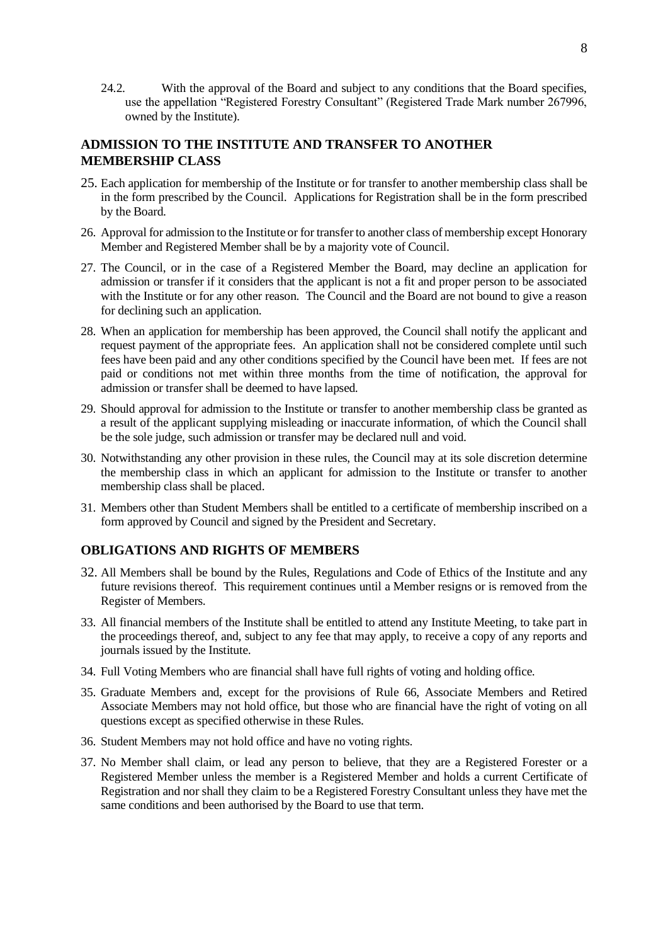24.2. With the approval of the Board and subject to any conditions that the Board specifies, use the appellation "Registered Forestry Consultant" (Registered Trade Mark number 267996, owned by the Institute).

# <span id="page-7-0"></span>**ADMISSION TO THE INSTITUTE AND TRANSFER TO ANOTHER MEMBERSHIP CLASS**

- 25. Each application for membership of the Institute or for transfer to another membership class shall be in the form prescribed by the Council. Applications for Registration shall be in the form prescribed by the Board.
- 26. Approval for admission to the Institute or for transfer to another class of membership except Honorary Member and Registered Member shall be by a majority vote of Council.
- 27. The Council, or in the case of a Registered Member the Board, may decline an application for admission or transfer if it considers that the applicant is not a fit and proper person to be associated with the Institute or for any other reason. The Council and the Board are not bound to give a reason for declining such an application.
- 28. When an application for membership has been approved, the Council shall notify the applicant and request payment of the appropriate fees. An application shall not be considered complete until such fees have been paid and any other conditions specified by the Council have been met. If fees are not paid or conditions not met within three months from the time of notification, the approval for admission or transfer shall be deemed to have lapsed.
- 29. Should approval for admission to the Institute or transfer to another membership class be granted as a result of the applicant supplying misleading or inaccurate information, of which the Council shall be the sole judge, such admission or transfer may be declared null and void.
- 30. Notwithstanding any other provision in these rules, the Council may at its sole discretion determine the membership class in which an applicant for admission to the Institute or transfer to another membership class shall be placed.
- 31. Members other than Student Members shall be entitled to a certificate of membership inscribed on a form approved by Council and signed by the President and Secretary.

# <span id="page-7-1"></span>**OBLIGATIONS AND RIGHTS OF MEMBERS**

- <span id="page-7-2"></span>32. All Members shall be bound by the Rules, Regulations and Code of Ethics of the Institute and any future revisions thereof. This requirement continues until a Member resigns or is removed from the Register of Members.
- 33. All financial members of the Institute shall be entitled to attend any Institute Meeting, to take part in the proceedings thereof, and, subject to any fee that may apply, to receive a copy of any reports and journals issued by the Institute.
- 34. Full Voting Members who are financial shall have full rights of voting and holding office.
- 35. Graduate Members and, except for the provisions of Rule [66,](#page-10-5) Associate Members and Retired Associate Members may not hold office, but those who are financial have the right of voting on all questions except as specified otherwise in these Rules.
- 36. Student Members may not hold office and have no voting rights.
- <span id="page-7-3"></span>37. No Member shall claim, or lead any person to believe, that they are a Registered Forester or a Registered Member unless the member is a Registered Member and holds a current Certificate of Registration and nor shall they claim to be a Registered Forestry Consultant unless they have met the same conditions and been authorised by the Board to use that term.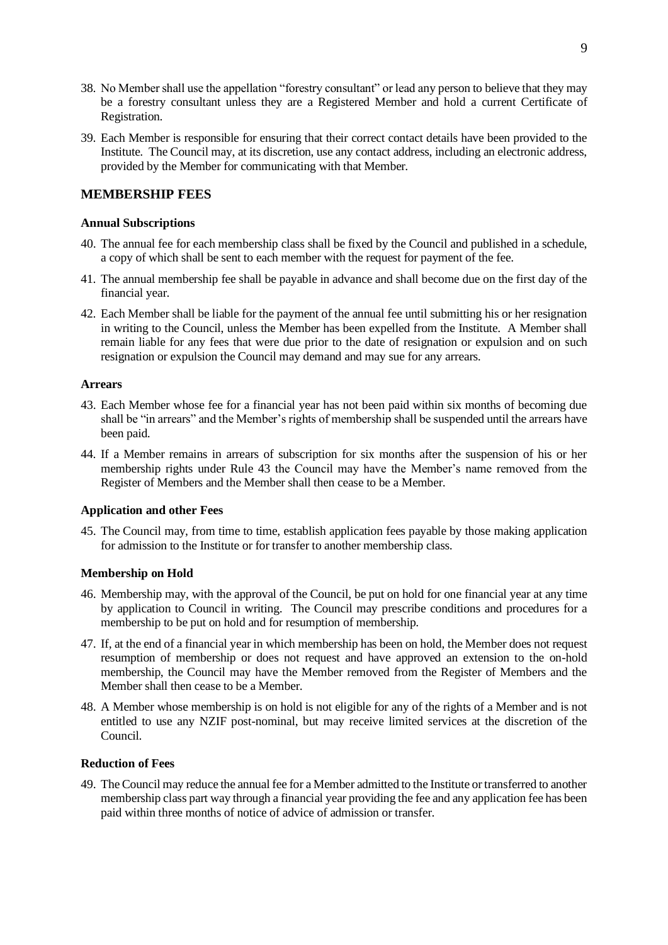- 38. No Member shall use the appellation "forestry consultant" or lead any person to believe that they may be a forestry consultant unless they are a Registered Member and hold a current Certificate of Registration.
- 39. Each Member is responsible for ensuring that their correct contact details have been provided to the Institute. The Council may, at its discretion, use any contact address, including an electronic address, provided by the Member for communicating with that Member.

# <span id="page-8-0"></span>**MEMBERSHIP FEES**

### <span id="page-8-1"></span>**Annual Subscriptions**

- 40. The annual fee for each membership class shall be fixed by the Council and published in a schedule, a copy of which shall be sent to each member with the request for payment of the fee.
- 41. The annual membership fee shall be payable in advance and shall become due on the first day of the financial year.
- 42. Each Member shall be liable for the payment of the annual fee until submitting his or her resignation in writing to the Council, unless the Member has been expelled from the Institute. A Member shall remain liable for any fees that were due prior to the date of resignation or expulsion and on such resignation or expulsion the Council may demand and may sue for any arrears.

### <span id="page-8-2"></span>**Arrears**

- <span id="page-8-7"></span>43. Each Member whose fee for a financial year has not been paid within six months of becoming due shall be "in arrears" and the Member's rights of membership shall be suspended until the arrears have been paid.
- 44. If a Member remains in arrears of subscription for six months after the suspension of his or her membership rights under Rule [43](#page-8-7) the Council may have the Member's name removed from the Register of Members and the Member shall then cease to be a Member.

# <span id="page-8-3"></span>**Application and other Fees**

45. The Council may, from time to time, establish application fees payable by those making application for admission to the Institute or for transfer to another membership class.

### <span id="page-8-4"></span>**Membership on Hold**

- <span id="page-8-6"></span>46. Membership may, with the approval of the Council, be put on hold for one financial year at any time by application to Council in writing. The Council may prescribe conditions and procedures for a membership to be put on hold and for resumption of membership.
- 47. If, at the end of a financial year in which membership has been on hold, the Member does not request resumption of membership or does not request and have approved an extension to the on-hold membership, the Council may have the Member removed from the Register of Members and the Member shall then cease to be a Member.
- 48. A Member whose membership is on hold is not eligible for any of the rights of a Member and is not entitled to use any NZIF post-nominal, but may receive limited services at the discretion of the Council.

## <span id="page-8-5"></span>**Reduction of Fees**

49. The Council may reduce the annual fee for a Member admitted to the Institute or transferred to another membership class part way through a financial year providing the fee and any application fee has been paid within three months of notice of advice of admission or transfer.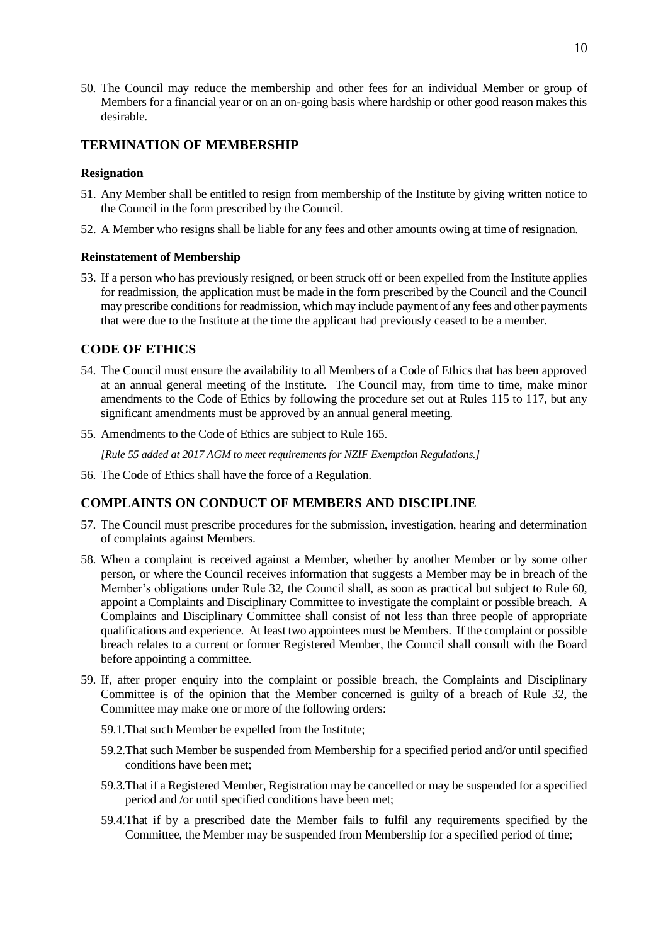50. The Council may reduce the membership and other fees for an individual Member or group of Members for a financial year or on an on-going basis where hardship or other good reason makes this desirable.

# <span id="page-9-0"></span>**TERMINATION OF MEMBERSHIP**

### <span id="page-9-1"></span>**Resignation**

- 51. Any Member shall be entitled to resign from membership of the Institute by giving written notice to the Council in the form prescribed by the Council.
- 52. A Member who resigns shall be liable for any fees and other amounts owing at time of resignation.

### <span id="page-9-2"></span>**Reinstatement of Membership**

53. If a person who has previously resigned, or been struck off or been expelled from the Institute applies for readmission, the application must be made in the form prescribed by the Council and the Council may prescribe conditions for readmission, which may include payment of any fees and other payments that were due to the Institute at the time the applicant had previously ceased to be a member.

# <span id="page-9-3"></span>**CODE OF ETHICS**

- <span id="page-9-5"></span>54. The Council must ensure the availability to all Members of a Code of Ethics that has been approved at an annual general meeting of the Institute. The Council may, from time to time, make minor amendments to the Code of Ethics by following the procedure set out at Rules [115](#page-15-6) to [117,](#page-15-5) but any significant amendments must be approved by an annual general meeting.
- 55. Amendments to the Code of Ethics are subject to Rul[e 165.](#page-21-0)

*[Rule 55 added at 2017 AGM to meet requirements for NZIF Exemption Regulations.]*

<span id="page-9-6"></span>56. The Code of Ethics shall have the force of a Regulation.

# <span id="page-9-4"></span>**COMPLAINTS ON CONDUCT OF MEMBERS AND DISCIPLINE**

- <span id="page-9-8"></span>57. The Council must prescribe procedures for the submission, investigation, hearing and determination of complaints against Members.
- 58. When a complaint is received against a Member, whether by another Member or by some other person, or where the Council receives information that suggests a Member may be in breach of the Member's obligations under Rule [32,](#page-7-2) the Council shall, as soon as practical but subject to Rule [60,](#page-10-6) appoint a Complaints and Disciplinary Committee to investigate the complaint or possible breach. A Complaints and Disciplinary Committee shall consist of not less than three people of appropriate qualifications and experience. At least two appointees must be Members. If the complaint or possible breach relates to a current or former Registered Member, the Council shall consult with the Board before appointing a committee.
- <span id="page-9-7"></span>59. If, after proper enquiry into the complaint or possible breach, the Complaints and Disciplinary Committee is of the opinion that the Member concerned is guilty of a breach of Rule [32,](#page-7-2) the Committee may make one or more of the following orders:
	- 59.1.That such Member be expelled from the Institute;
	- 59.2.That such Member be suspended from Membership for a specified period and/or until specified conditions have been met;
	- 59.3.That if a Registered Member, Registration may be cancelled or may be suspended for a specified period and /or until specified conditions have been met;
	- 59.4.That if by a prescribed date the Member fails to fulfil any requirements specified by the Committee, the Member may be suspended from Membership for a specified period of time;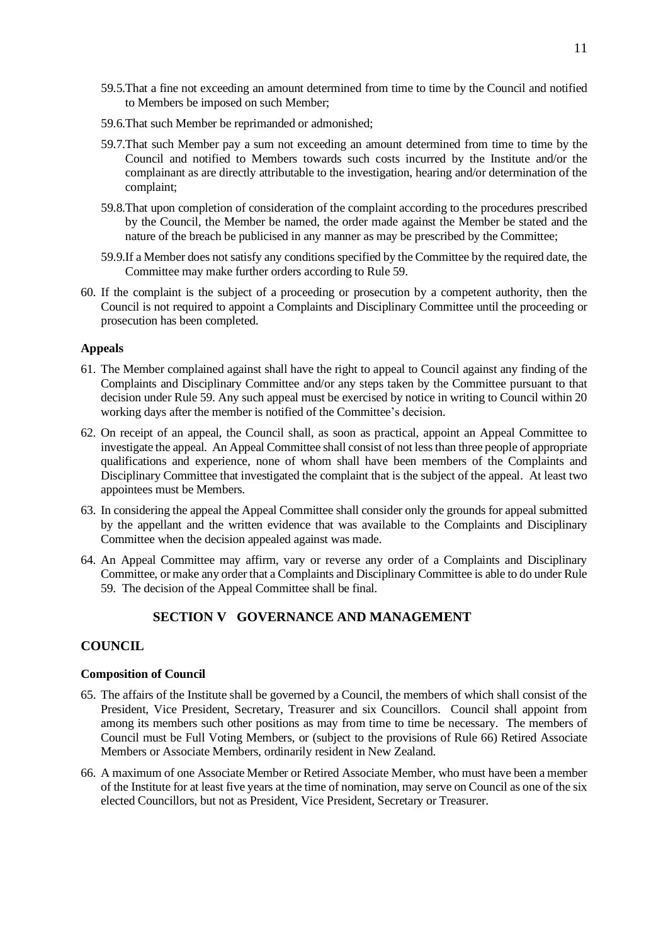- 59.5.That a fine not exceeding an amount determined from time to time by the Council and notified to Members be imposed on such Member;
- 59.6.That such Member be reprimanded or admonished;
- 59.7.That such Member pay a sum not exceeding an amount determined from time to time by the Council and notified to Members towards such costs incurred by the Institute and/or the complainant as are directly attributable to the investigation, hearing and/or determination of the complaint;
- 59.8.That upon completion of consideration of the complaint according to the procedures prescribed by the Council, the Member be named, the order made against the Member be stated and the nature of the breach be publicised in any manner as may be prescribed by the Committee;
- 59.9.If a Member does not satisfy any conditions specified by the Committee by the required date, the Committee may make further orders according to Rule [59.](#page-9-7)
- <span id="page-10-6"></span>60. If the complaint is the subject of a proceeding or prosecution by a competent authority, then the Council is not required to appoint a Complaints and Disciplinary Committee until the proceeding or prosecution has been completed.

### <span id="page-10-0"></span>**Appeals**

- 61. The Member complained against shall have the right to appeal to Council against any finding of the Complaints and Disciplinary Committee and/or any steps taken by the Committee pursuant to that decision under Rule [59.](#page-9-7) Any such appeal must be exercised by notice in writing to Council within 20 working days after the member is notified of the Committee's decision.
- 62. On receipt of an appeal, the Council shall, as soon as practical, appoint an Appeal Committee to investigate the appeal. An Appeal Committee shall consist of not less than three people of appropriate qualifications and experience, none of whom shall have been members of the Complaints and Disciplinary Committee that investigated the complaint that is the subject of the appeal. At least two appointees must be Members.
- 63. In considering the appeal the Appeal Committee shall consider only the grounds for appeal submitted by the appellant and the written evidence that was available to the Complaints and Disciplinary Committee when the decision appealed against was made.
- <span id="page-10-7"></span>64. An Appeal Committee may affirm, vary or reverse any order of a Complaints and Disciplinary Committee, or make any order that a Complaints and Disciplinary Committee is able to do under Rule [59.](#page-9-7) The decision of the Appeal Committee shall be final.

# **SECTION V GOVERNANCE AND MANAGEMENT**

# <span id="page-10-2"></span><span id="page-10-1"></span>**COUNCIL**

#### <span id="page-10-3"></span>**Composition of Council**

- <span id="page-10-4"></span>65. The affairs of the Institute shall be governed by a Council, the members of which shall consist of the President, Vice President, Secretary, Treasurer and six Councillors. Council shall appoint from among its members such other positions as may from time to time be necessary. The members of Council must be Full Voting Members, or (subject to the provisions of Rule [66\)](#page-10-5) Retired Associate Members or Associate Members, ordinarily resident in New Zealand.
- <span id="page-10-5"></span>66. A maximum of one Associate Member or Retired Associate Member, who must have been a member of the Institute for at least five years at the time of nomination, may serve on Council as one of the six elected Councillors, but not as President, Vice President, Secretary or Treasurer.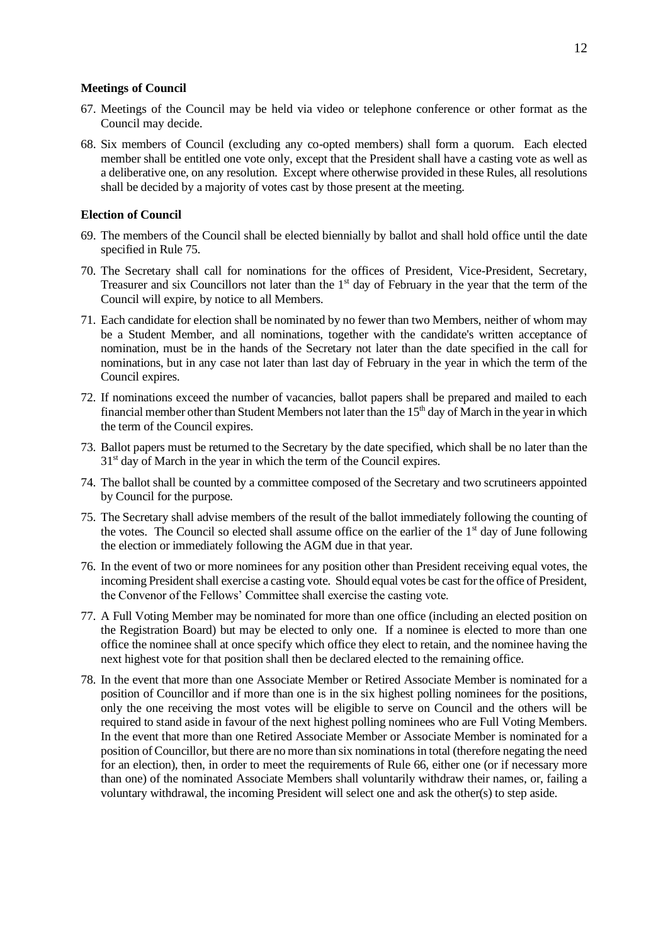#### <span id="page-11-0"></span>**Meetings of Council**

- 67. Meetings of the Council may be held via video or telephone conference or other format as the Council may decide.
- 68. Six members of Council (excluding any co-opted members) shall form a quorum. Each elected member shall be entitled one vote only, except that the President shall have a casting vote as well as a deliberative one, on any resolution. Except where otherwise provided in these Rules, all resolutions shall be decided by a majority of votes cast by those present at the meeting.

# <span id="page-11-1"></span>**Election of Council**

- 69. The members of the Council shall be elected biennially by ballot and shall hold office until the date specified in Rule [75.](#page-11-2)
- 70. The Secretary shall call for nominations for the offices of President, Vice-President, Secretary, Treasurer and six Councillors not later than the  $1<sup>st</sup>$  day of February in the year that the term of the Council will expire, by notice to all Members.
- 71. Each candidate for election shall be nominated by no fewer than two Members, neither of whom may be a Student Member, and all nominations, together with the candidate's written acceptance of nomination, must be in the hands of the Secretary not later than the date specified in the call for nominations, but in any case not later than last day of February in the year in which the term of the Council expires.
- 72. If nominations exceed the number of vacancies, ballot papers shall be prepared and mailed to each financial member other than Student Members not later than the  $15<sup>th</sup>$  day of March in the year in which the term of the Council expires.
- 73. Ballot papers must be returned to the Secretary by the date specified, which shall be no later than the  $31<sup>st</sup>$  day of March in the year in which the term of the Council expires.
- 74. The ballot shall be counted by a committee composed of the Secretary and two scrutineers appointed by Council for the purpose.
- <span id="page-11-2"></span>75. The Secretary shall advise members of the result of the ballot immediately following the counting of the votes. The Council so elected shall assume office on the earlier of the  $1<sup>st</sup>$  day of June following the election or immediately following the AGM due in that year.
- <span id="page-11-3"></span>76. In the event of two or more nominees for any position other than President receiving equal votes, the incoming President shall exercise a casting vote. Should equal votes be cast for the office of President, the Convenor of the Fellows' Committee shall exercise the casting vote.
- 77. A Full Voting Member may be nominated for more than one office (including an elected position on the Registration Board) but may be elected to only one. If a nominee is elected to more than one office the nominee shall at once specify which office they elect to retain, and the nominee having the next highest vote for that position shall then be declared elected to the remaining office.
- 78. In the event that more than one Associate Member or Retired Associate Member is nominated for a position of Councillor and if more than one is in the six highest polling nominees for the positions, only the one receiving the most votes will be eligible to serve on Council and the others will be required to stand aside in favour of the next highest polling nominees who are Full Voting Members. In the event that more than one Retired Associate Member or Associate Member is nominated for a position of Councillor, but there are no more than six nominations in total (therefore negating the need for an election), then, in order to meet the requirements of Rule [66,](#page-10-5) either one (or if necessary more than one) of the nominated Associate Members shall voluntarily withdraw their names, or, failing a voluntary withdrawal, the incoming President will select one and ask the other(s) to step aside.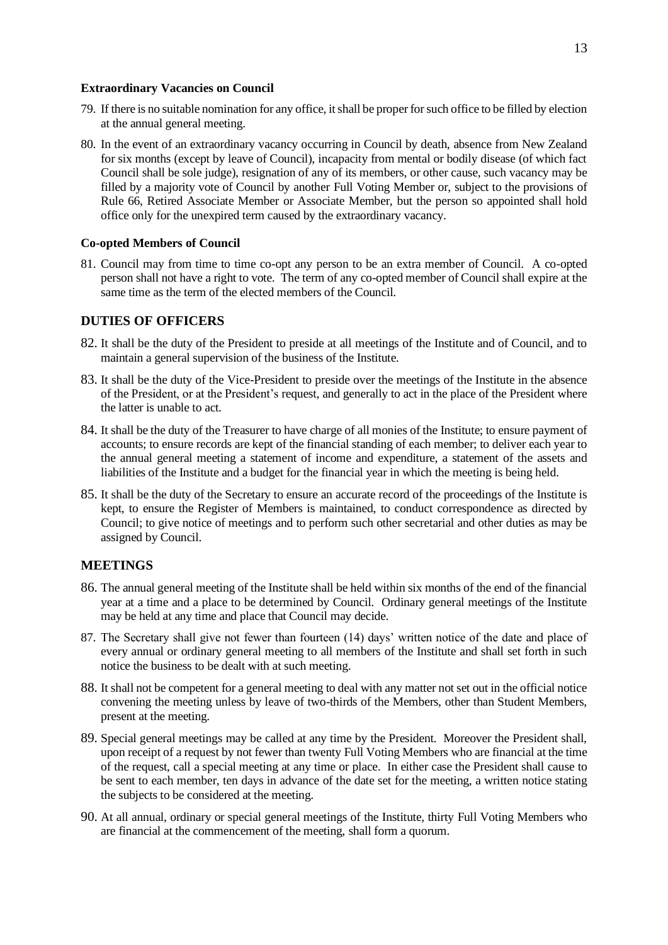#### <span id="page-12-0"></span>**Extraordinary Vacancies on Council**

- 79. If there is no suitable nomination for any office, it shall be proper for such office to be filled by election at the annual general meeting.
- 80. In the event of an extraordinary vacancy occurring in Council by death, absence from New Zealand for six months (except by leave of Council), incapacity from mental or bodily disease (of which fact Council shall be sole judge), resignation of any of its members, or other cause, such vacancy may be filled by a majority vote of Council by another Full Voting Member or, subject to the provisions of Rule [66,](#page-10-5) Retired Associate Member or Associate Member, but the person so appointed shall hold office only for the unexpired term caused by the extraordinary vacancy.

## <span id="page-12-1"></span>**Co-opted Members of Council**

81. Council may from time to time co-opt any person to be an extra member of Council. A co-opted person shall not have a right to vote. The term of any co-opted member of Council shall expire at the same time as the term of the elected members of the Council.

# <span id="page-12-2"></span>**DUTIES OF OFFICERS**

- 82. It shall be the duty of the President to preside at all meetings of the Institute and of Council, and to maintain a general supervision of the business of the Institute.
- 83. It shall be the duty of the Vice-President to preside over the meetings of the Institute in the absence of the President, or at the President's request, and generally to act in the place of the President where the latter is unable to act.
- 84. It shall be the duty of the Treasurer to have charge of all monies of the Institute; to ensure payment of accounts; to ensure records are kept of the financial standing of each member; to deliver each year to the annual general meeting a statement of income and expenditure, a statement of the assets and liabilities of the Institute and a budget for the financial year in which the meeting is being held.
- 85. It shall be the duty of the Secretary to ensure an accurate record of the proceedings of the Institute is kept, to ensure the Register of Members is maintained, to conduct correspondence as directed by Council; to give notice of meetings and to perform such other secretarial and other duties as may be assigned by Council.

# <span id="page-12-3"></span>**MEETINGS**

- 86. The annual general meeting of the Institute shall be held within six months of the end of the financial year at a time and a place to be determined by Council. Ordinary general meetings of the Institute may be held at any time and place that Council may decide.
- 87. The Secretary shall give not fewer than fourteen (14) days' written notice of the date and place of every annual or ordinary general meeting to all members of the Institute and shall set forth in such notice the business to be dealt with at such meeting.
- 88. It shall not be competent for a general meeting to deal with any matter not set out in the official notice convening the meeting unless by leave of two-thirds of the Members, other than Student Members, present at the meeting.
- 89. Special general meetings may be called at any time by the President. Moreover the President shall, upon receipt of a request by not fewer than twenty Full Voting Members who are financial at the time of the request, call a special meeting at any time or place. In either case the President shall cause to be sent to each member, ten days in advance of the date set for the meeting, a written notice stating the subjects to be considered at the meeting.
- 90. At all annual, ordinary or special general meetings of the Institute, thirty Full Voting Members who are financial at the commencement of the meeting, shall form a quorum.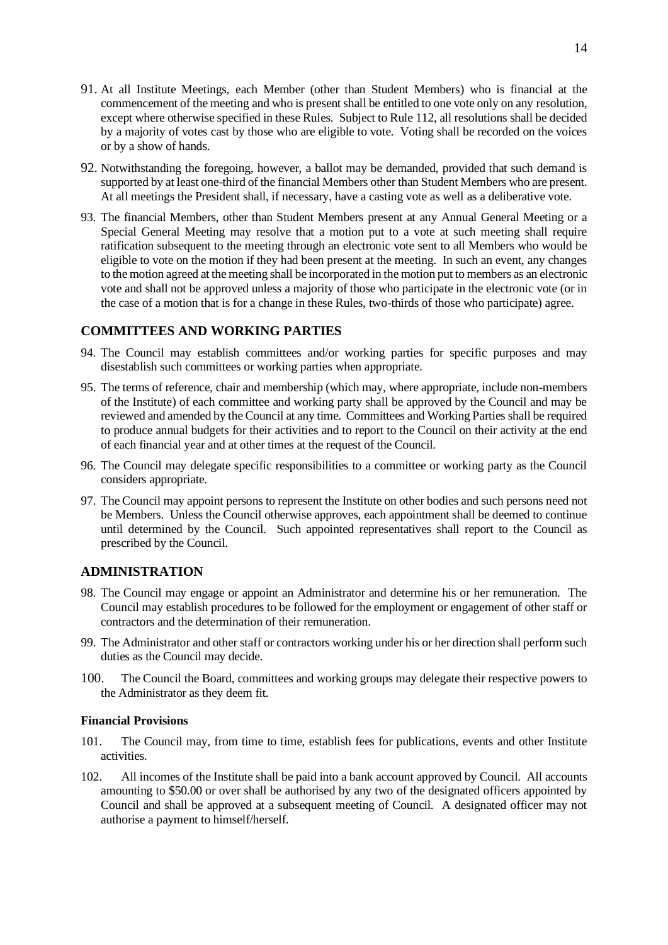- 91. At all Institute Meetings, each Member (other than Student Members) who is financial at the commencement of the meeting and who is present shall be entitled to one vote only on any resolution, except where otherwise specified in these Rules. Subject to Rule [112,](#page-14-2) all resolutions shall be decided by a majority of votes cast by those who are eligible to vote. Voting shall be recorded on the voices or by a show of hands.
- 92. Notwithstanding the foregoing, however, a ballot may be demanded, provided that such demand is supported by at least one-third of the financial Members other than Student Members who are present. At all meetings the President shall, if necessary, have a casting vote as well as a deliberative vote.
- 93. The financial Members, other than Student Members present at any Annual General Meeting or a Special General Meeting may resolve that a motion put to a vote at such meeting shall require ratification subsequent to the meeting through an electronic vote sent to all Members who would be eligible to vote on the motion if they had been present at the meeting. In such an event, any changes to the motion agreed at the meeting shall be incorporated in the motion put to members as an electronic vote and shall not be approved unless a majority of those who participate in the electronic vote (or in the case of a motion that is for a change in these Rules, two-thirds of those who participate) agree.

# <span id="page-13-0"></span>**COMMITTEES AND WORKING PARTIES**

- 94. The Council may establish committees and/or working parties for specific purposes and may disestablish such committees or working parties when appropriate.
- 95. The terms of reference, chair and membership (which may, where appropriate, include non-members of the Institute) of each committee and working party shall be approved by the Council and may be reviewed and amended by the Council at any time. Committees and Working Parties shall be required to produce annual budgets for their activities and to report to the Council on their activity at the end of each financial year and at other times at the request of the Council.
- 96. The Council may delegate specific responsibilities to a committee or working party as the Council considers appropriate.
- 97. The Council may appoint persons to represent the Institute on other bodies and such persons need not be Members. Unless the Council otherwise approves, each appointment shall be deemed to continue until determined by the Council. Such appointed representatives shall report to the Council as prescribed by the Council.

## <span id="page-13-1"></span>**ADMINISTRATION**

- 98. The Council may engage or appoint an Administrator and determine his or her remuneration. The Council may establish procedures to be followed for the employment or engagement of other staff or contractors and the determination of their remuneration.
- 99. The Administrator and other staff or contractors working under his or her direction shall perform such duties as the Council may decide.
- 100. The Council the Board, committees and working groups may delegate their respective powers to the Administrator as they deem fit.

#### <span id="page-13-2"></span>**Financial Provisions**

- 101. The Council may, from time to time, establish fees for publications, events and other Institute activities.
- 102. All incomes of the Institute shall be paid into a bank account approved by Council. All accounts amounting to \$50.00 or over shall be authorised by any two of the designated officers appointed by Council and shall be approved at a subsequent meeting of Council. A designated officer may not authorise a payment to himself/herself.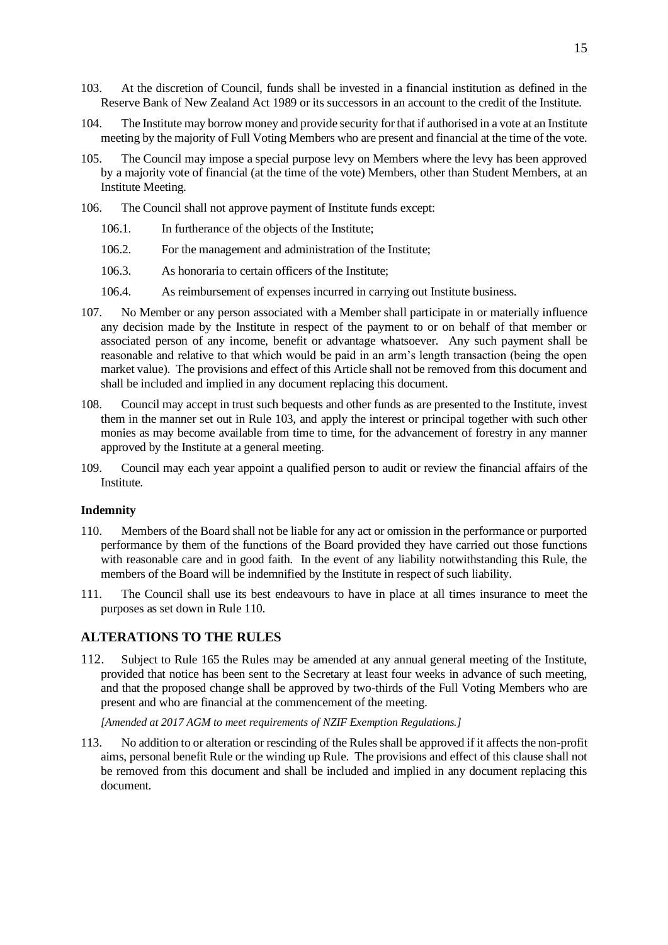- <span id="page-14-3"></span>103. At the discretion of Council, funds shall be invested in a financial institution as defined in the Reserve Bank of New Zealand Act 1989 or its successors in an account to the credit of the Institute.
- 104. The Institute may borrow money and provide security for that if authorised in a vote at an Institute meeting by the majority of Full Voting Members who are present and financial at the time of the vote.
- 105. The Council may impose a special purpose levy on Members where the levy has been approved by a majority vote of financial (at the time of the vote) Members, other than Student Members, at an Institute Meeting.
- 106. The Council shall not approve payment of Institute funds except:
	- 106.1. In furtherance of the objects of the Institute;
	- 106.2. For the management and administration of the Institute;
	- 106.3. As honoraria to certain officers of the Institute;
	- 106.4. As reimbursement of expenses incurred in carrying out Institute business.
- 107. No Member or any person associated with a Member shall participate in or materially influence any decision made by the Institute in respect of the payment to or on behalf of that member or associated person of any income, benefit or advantage whatsoever. Any such payment shall be reasonable and relative to that which would be paid in an arm's length transaction (being the open market value). The provisions and effect of this Article shall not be removed from this document and shall be included and implied in any document replacing this document.
- 108. Council may accept in trust such bequests and other funds as are presented to the Institute, invest them in the manner set out in Rule [103,](#page-14-3) and apply the interest or principal together with such other monies as may become available from time to time, for the advancement of forestry in any manner approved by the Institute at a general meeting.
- 109. Council may each year appoint a qualified person to audit or review the financial affairs of the Institute.

#### <span id="page-14-0"></span>**Indemnity**

- <span id="page-14-4"></span>110. Members of the Board shall not be liable for any act or omission in the performance or purported performance by them of the functions of the Board provided they have carried out those functions with reasonable care and in good faith. In the event of any liability notwithstanding this Rule, the members of the Board will be indemnified by the Institute in respect of such liability.
- 111. The Council shall use its best endeavours to have in place at all times insurance to meet the purposes as set down in Rule [110.](#page-14-4)

### <span id="page-14-1"></span>**ALTERATIONS TO THE RULES**

<span id="page-14-2"></span>112. Subject to Rule [165](#page-21-0) the Rules may be amended at any annual general meeting of the Institute, provided that notice has been sent to the Secretary at least four weeks in advance of such meeting, and that the proposed change shall be approved by two-thirds of the Full Voting Members who are present and who are financial at the commencement of the meeting.

*[Amended at 2017 AGM to meet requirements of NZIF Exemption Regulations.]*

113. No addition to or alteration or rescinding of the Rules shall be approved if it affects the non-profit aims, personal benefit Rule or the winding up Rule. The provisions and effect of this clause shall not be removed from this document and shall be included and implied in any document replacing this document.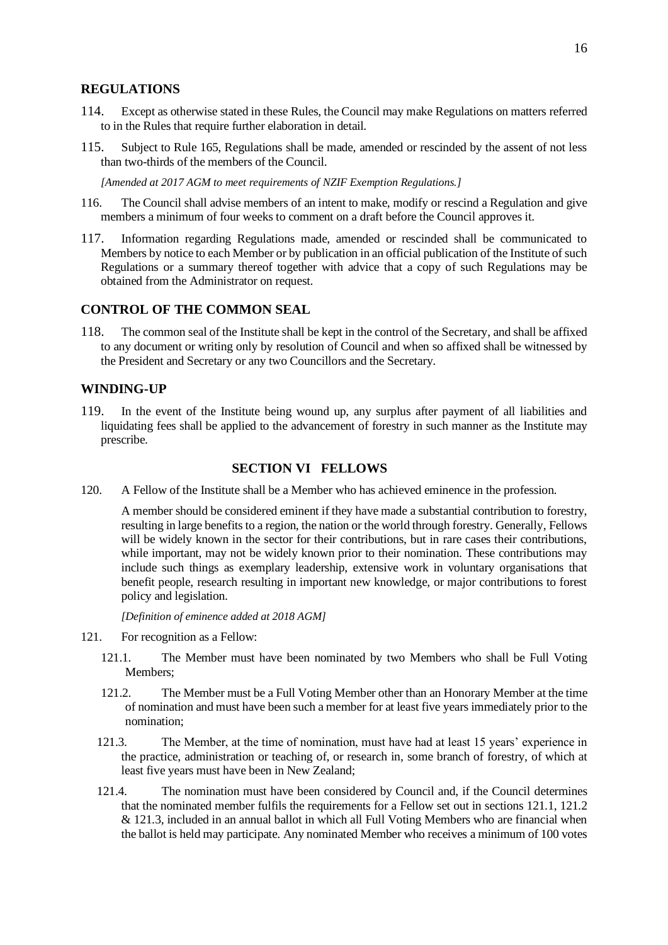# <span id="page-15-0"></span>**REGULATIONS**

- <span id="page-15-4"></span>114. Except as otherwise stated in these Rules, the Council may make Regulations on matters referred to in the Rules that require further elaboration in detail.
- <span id="page-15-6"></span>115. Subject to Rule [165,](#page-21-0) Regulations shall be made, amended or rescinded by the assent of not less than two-thirds of the members of the Council.

*[Amended at 2017 AGM to meet requirements of NZIF Exemption Regulations.]*

- 116. The Council shall advise members of an intent to make, modify or rescind a Regulation and give members a minimum of four weeks to comment on a draft before the Council approves it.
- <span id="page-15-5"></span>117. Information regarding Regulations made, amended or rescinded shall be communicated to Members by notice to each Member or by publication in an official publication of the Institute of such Regulations or a summary thereof together with advice that a copy of such Regulations may be obtained from the Administrator on request.

# <span id="page-15-1"></span>**CONTROL OF THE COMMON SEAL**

118. The common seal of the Institute shall be kept in the control of the Secretary, and shall be affixed to any document or writing only by resolution of Council and when so affixed shall be witnessed by the President and Secretary or any two Councillors and the Secretary.

# <span id="page-15-2"></span>**WINDING-UP**

119. In the event of the Institute being wound up, any surplus after payment of all liabilities and liquidating fees shall be applied to the advancement of forestry in such manner as the Institute may prescribe.

# **SECTION VI FELLOWS**

<span id="page-15-3"></span>120. A Fellow of the Institute shall be a Member who has achieved eminence in the profession.

A member should be considered eminent if they have made a substantial contribution to forestry, resulting in large benefits to a region, the nation or the world through forestry. Generally, Fellows will be widely known in the sector for their contributions, but in rare cases their contributions, while important, may not be widely known prior to their nomination. These contributions may include such things as exemplary leadership, extensive work in voluntary organisations that benefit people, research resulting in important new knowledge, or major contributions to forest policy and legislation.

*[Definition of eminence added at 2018 AGM]*

- 121. For recognition as a Fellow:
	- 121.1. The Member must have been nominated by two Members who shall be Full Voting Members;
	- 121.2. The Member must be a Full Voting Member other than an Honorary Member at the time of nomination and must have been such a member for at least five years immediately prior to the nomination;
	- 121.3. The Member, at the time of nomination, must have had at least 15 years' experience in the practice, administration or teaching of, or research in, some branch of forestry, of which at least five years must have been in New Zealand;
	- 121.4. The nomination must have been considered by Council and, if the Council determines that the nominated member fulfils the requirements for a Fellow set out in sections 121.1, 121.2 & 121.3, included in an annual ballot in which all Full Voting Members who are financial when the ballot is held may participate. Any nominated Member who receives a minimum of 100 votes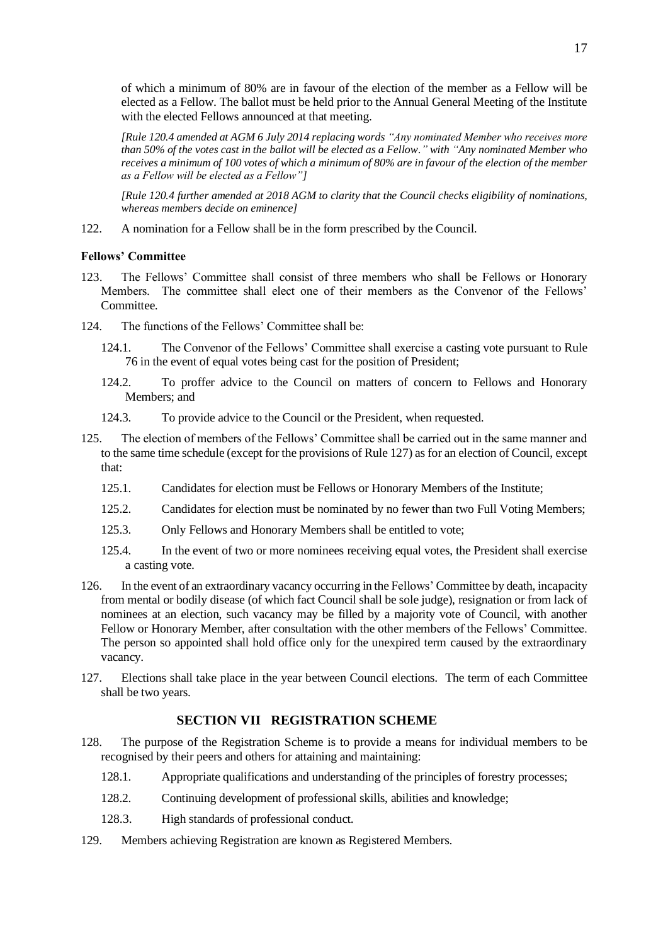of which a minimum of 80% are in favour of the election of the member as a Fellow will be elected as a Fellow. The ballot must be held prior to the Annual General Meeting of the Institute with the elected Fellows announced at that meeting.

*[Rule 120.4 amended at AGM 6 July 2014 replacing words "Any nominated Member who receives more than 50% of the votes cast in the ballot will be elected as a Fellow." with "Any nominated Member who receives a minimum of 100 votes of which a minimum of 80% are in favour of the election of the member as a Fellow will be elected as a Fellow"]*

*[Rule 120.4 further amended at 2018 AGM to clarity that the Council checks eligibility of nominations, whereas members decide on eminence]*

122. A nomination for a Fellow shall be in the form prescribed by the Council.

### <span id="page-16-0"></span>**Fellows' Committee**

- 123. The Fellows' Committee shall consist of three members who shall be Fellows or Honorary Members. The committee shall elect one of their members as the Convenor of the Fellows' Committee.
- 124. The functions of the Fellows' Committee shall be:
	- 124.1. The Convenor of the Fellows' Committee shall exercise a casting vote pursuant to Rule [76](#page-11-3) in the event of equal votes being cast for the position of President;
	- 124.2. To proffer advice to the Council on matters of concern to Fellows and Honorary Members; and
	- 124.3. To provide advice to the Council or the President, when requested.
- <span id="page-16-2"></span>125. The election of members of the Fellows' Committee shall be carried out in the same manner and to the same time schedule (except for the provisions of Rule [127\)](#page-16-3) as for an election of Council, except that:
	- 125.1. Candidates for election must be Fellows or Honorary Members of the Institute;
	- 125.2. Candidates for election must be nominated by no fewer than two Full Voting Members;
	- 125.3. Only Fellows and Honorary Members shall be entitled to vote;
	- 125.4. In the event of two or more nominees receiving equal votes, the President shall exercise a casting vote.
- 126. In the event of an extraordinary vacancy occurring in the Fellows' Committee by death, incapacity from mental or bodily disease (of which fact Council shall be sole judge), resignation or from lack of nominees at an election, such vacancy may be filled by a majority vote of Council, with another Fellow or Honorary Member, after consultation with the other members of the Fellows' Committee. The person so appointed shall hold office only for the unexpired term caused by the extraordinary vacancy.
- <span id="page-16-3"></span>127. Elections shall take place in the year between Council elections. The term of each Committee shall be two years.

# **SECTION VII REGISTRATION SCHEME**

- <span id="page-16-1"></span>128. The purpose of the Registration Scheme is to provide a means for individual members to be recognised by their peers and others for attaining and maintaining:
	- 128.1. Appropriate qualifications and understanding of the principles of forestry processes;
	- 128.2. Continuing development of professional skills, abilities and knowledge;
	- 128.3. High standards of professional conduct.
- 129. Members achieving Registration are known as Registered Members.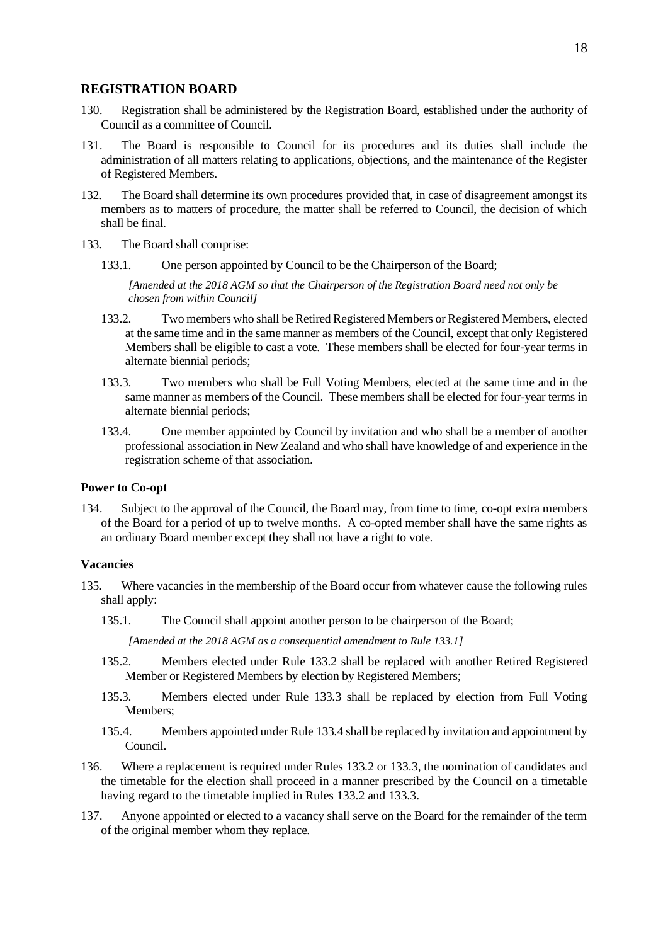### <span id="page-17-0"></span>**REGISTRATION BOARD**

- <span id="page-17-3"></span>130. Registration shall be administered by the Registration Board, established under the authority of Council as a committee of Council.
- 131. The Board is responsible to Council for its procedures and its duties shall include the administration of all matters relating to applications, objections, and the maintenance of the Register of Registered Members.
- 132. The Board shall determine its own procedures provided that, in case of disagreement amongst its members as to matters of procedure, the matter shall be referred to Council, the decision of which shall be final.
- <span id="page-17-4"></span>133. The Board shall comprise:
	- 133.1. One person appointed by Council to be the Chairperson of the Board;

*[Amended at the 2018 AGM so that the Chairperson of the Registration Board need not only be chosen from within Council]*

- <span id="page-17-5"></span>133.2. Two members who shall be Retired Registered Members or Registered Members, elected at the same time and in the same manner as members of the Council, except that only Registered Members shall be eligible to cast a vote. These members shall be elected for four-year terms in alternate biennial periods;
- <span id="page-17-6"></span>133.3. Two members who shall be Full Voting Members, elected at the same time and in the same manner as members of the Council. These members shall be elected for four-year terms in alternate biennial periods;
- <span id="page-17-7"></span>133.4. One member appointed by Council by invitation and who shall be a member of another professional association in New Zealand and who shall have knowledge of and experience in the registration scheme of that association.

## <span id="page-17-1"></span>**Power to Co-opt**

134. Subject to the approval of the Council, the Board may, from time to time, co-opt extra members of the Board for a period of up to twelve months. A co-opted member shall have the same rights as an ordinary Board member except they shall not have a right to vote.

### <span id="page-17-2"></span>**Vacancies**

- 135. Where vacancies in the membership of the Board occur from whatever cause the following rules shall apply:
	- 135.1. The Council shall appoint another person to be chairperson of the Board;

*[Amended at the 2018 AGM as a consequential amendment to Rule 133.1]*

- 135.2. Members elected under Rule [133.2](#page-17-5) shall be replaced with another Retired Registered Member or Registered Members by election by Registered Members;
- 135.3. Members elected under Rule [133.3](#page-17-6) shall be replaced by election from Full Voting Members;
- 135.4. Members appointed under Rule [133.4](#page-17-7) shall be replaced by invitation and appointment by Council.
- 136. Where a replacement is required under Rules [133.2](#page-17-5) or [133.3,](#page-17-6) the nomination of candidates and the timetable for the election shall proceed in a manner prescribed by the Council on a timetable having regard to the timetable implied in Rules [133.2](#page-17-5) and [133.3.](#page-17-6)
- 137. Anyone appointed or elected to a vacancy shall serve on the Board for the remainder of the term of the original member whom they replace.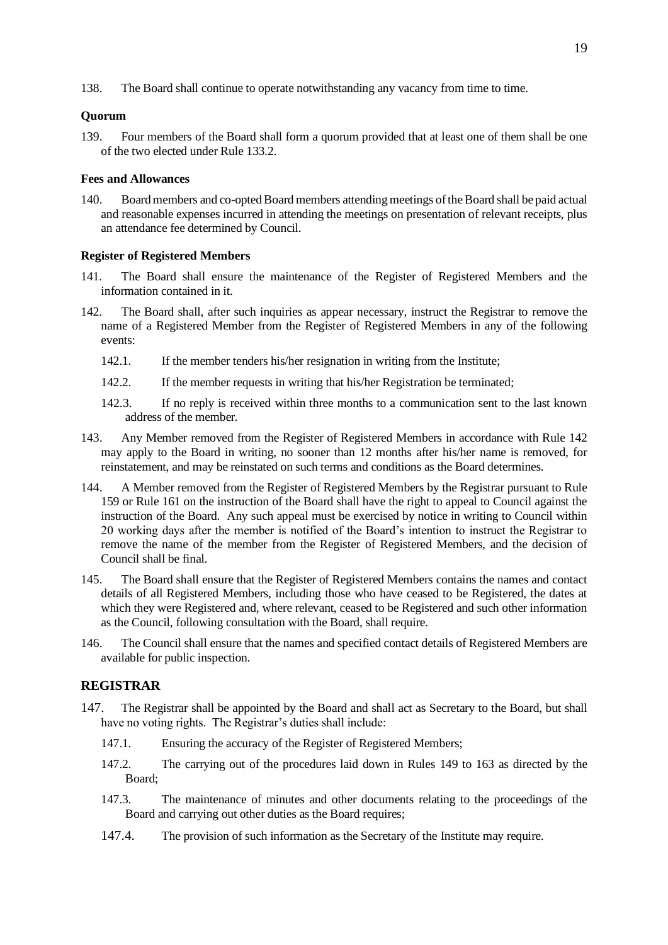138. The Board shall continue to operate notwithstanding any vacancy from time to time.

# <span id="page-18-0"></span>**Quorum**

139. Four members of the Board shall form a quorum provided that at least one of them shall be one of the two elected under Rule [133.2.](#page-17-5)

# <span id="page-18-1"></span>**Fees and Allowances**

140. Board members and co-opted Board members attending meetings of the Board shall be paid actual and reasonable expenses incurred in attending the meetings on presentation of relevant receipts, plus an attendance fee determined by Council.

### <span id="page-18-2"></span>**Register of Registered Members**

- 141. The Board shall ensure the maintenance of the Register of Registered Members and the information contained in it.
- <span id="page-18-4"></span>142. The Board shall, after such inquiries as appear necessary, instruct the Registrar to remove the name of a Registered Member from the Register of Registered Members in any of the following events:
	- 142.1. If the member tenders his/her resignation in writing from the Institute;
	- 142.2. If the member requests in writing that his/her Registration be terminated;
	- 142.3. If no reply is received within three months to a communication sent to the last known address of the member.
- 143. Any Member removed from the Register of Registered Members in accordance with Rule [142](#page-18-4) may apply to the Board in writing, no sooner than 12 months after his/her name is removed, for reinstatement, and may be reinstated on such terms and conditions as the Board determines.
- 144. A Member removed from the Register of Registered Members by the Registrar pursuant to Rule [159](#page-20-3) or Rule [161](#page-20-4) on the instruction of the Board shall have the right to appeal to Council against the instruction of the Board. Any such appeal must be exercised by notice in writing to Council within 20 working days after the member is notified of the Board's intention to instruct the Registrar to remove the name of the member from the Register of Registered Members, and the decision of Council shall be final.
- 145. The Board shall ensure that the Register of Registered Members contains the names and contact details of all Registered Members, including those who have ceased to be Registered, the dates at which they were Registered and, where relevant, ceased to be Registered and such other information as the Council, following consultation with the Board, shall require.
- 146. The Council shall ensure that the names and specified contact details of Registered Members are available for public inspection.

# <span id="page-18-3"></span>**REGISTRAR**

- 147. The Registrar shall be appointed by the Board and shall act as Secretary to the Board, but shall have no voting rights. The Registrar's duties shall include:
	- 147.1. Ensuring the accuracy of the Register of Registered Members;
	- 147.2. The carrying out of the procedures laid down in Rules [149](#page-19-5) to [163](#page-20-5) as directed by the Board;
	- 147.3. The maintenance of minutes and other documents relating to the proceedings of the Board and carrying out other duties as the Board requires;
	- 147.4. The provision of such information as the Secretary of the Institute may require.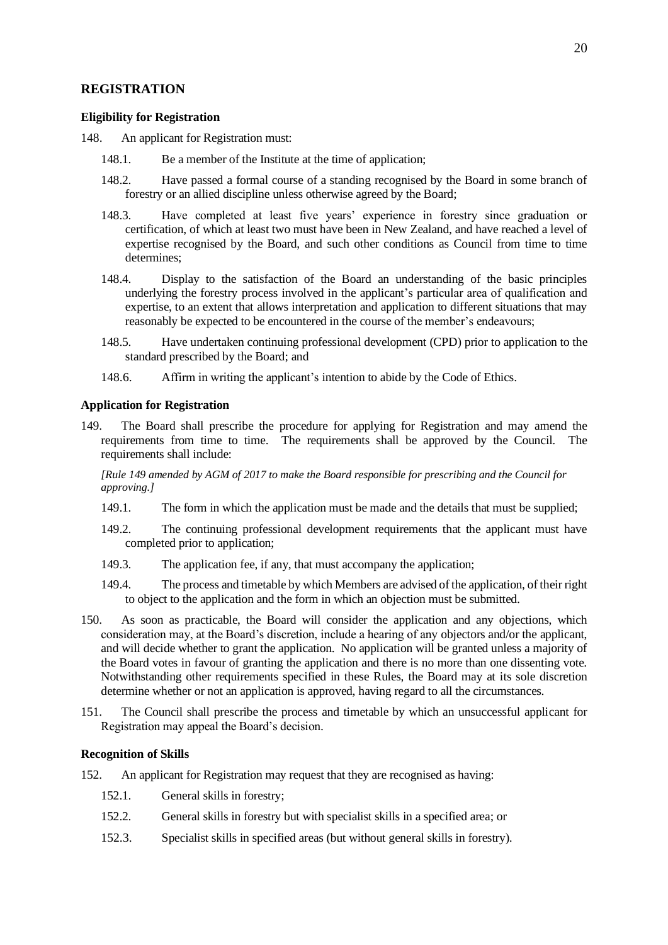# <span id="page-19-0"></span>**REGISTRATION**

## <span id="page-19-1"></span>**Eligibility for Registration**

<span id="page-19-4"></span>148. An applicant for Registration must:

- 148.1. Be a member of the Institute at the time of application;
- 148.2. Have passed a formal course of a standing recognised by the Board in some branch of forestry or an allied discipline unless otherwise agreed by the Board;
- 148.3. Have completed at least five years' experience in forestry since graduation or certification, of which at least two must have been in New Zealand, and have reached a level of expertise recognised by the Board, and such other conditions as Council from time to time determines;
- 148.4. Display to the satisfaction of the Board an understanding of the basic principles underlying the forestry process involved in the applicant's particular area of qualification and expertise, to an extent that allows interpretation and application to different situations that may reasonably be expected to be encountered in the course of the member's endeavours;
- 148.5. Have undertaken continuing professional development (CPD) prior to application to the standard prescribed by the Board; and
- 148.6. Affirm in writing the applicant's intention to abide by the Code of Ethics.

### <span id="page-19-2"></span>**Application for Registration**

<span id="page-19-5"></span>149. The Board shall prescribe the procedure for applying for Registration and may amend the requirements from time to time. The requirements shall be approved by the Council. The requirements shall include:

*[Rul[e 149](#page-19-5) amended by AGM of 2017 to make the Board responsible for prescribing and the Council for approving.]*

- 149.1. The form in which the application must be made and the details that must be supplied;
- 149.2. The continuing professional development requirements that the applicant must have completed prior to application;
- 149.3. The application fee, if any, that must accompany the application;
- 149.4. The process and timetable by which Members are advised of the application, of their right to object to the application and the form in which an objection must be submitted.
- 150. As soon as practicable, the Board will consider the application and any objections, which consideration may, at the Board's discretion, include a hearing of any objectors and/or the applicant, and will decide whether to grant the application. No application will be granted unless a majority of the Board votes in favour of granting the application and there is no more than one dissenting vote. Notwithstanding other requirements specified in these Rules, the Board may at its sole discretion determine whether or not an application is approved, having regard to all the circumstances.
- 151. The Council shall prescribe the process and timetable by which an unsuccessful applicant for Registration may appeal the Board's decision.

### <span id="page-19-3"></span>**Recognition of Skills**

- <span id="page-19-6"></span>152. An applicant for Registration may request that they are recognised as having:
	- 152.1. General skills in forestry;
	- 152.2. General skills in forestry but with specialist skills in a specified area; or
	- 152.3. Specialist skills in specified areas (but without general skills in forestry).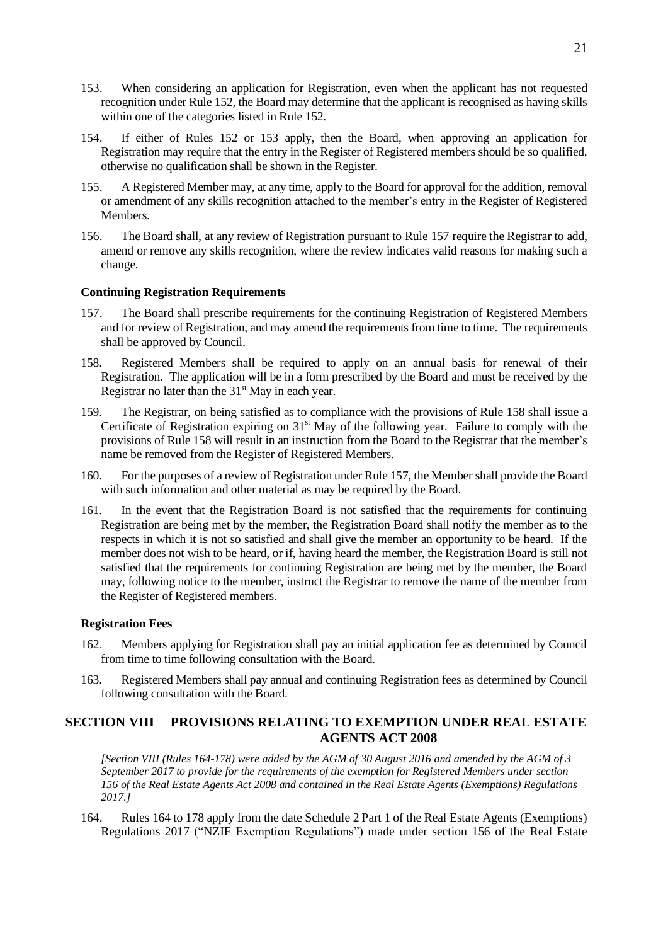- <span id="page-20-6"></span>153. When considering an application for Registration, even when the applicant has not requested recognition under Rule [152,](#page-19-6) the Board may determine that the applicant is recognised as having skills within one of the categories listed in Rule [152.](#page-19-6)
- 154. If either of Rules [152](#page-19-6) or [153](#page-20-6) apply, then the Board, when approving an application for Registration may require that the entry in the Register of Registered members should be so qualified, otherwise no qualification shall be shown in the Register.
- 155. A Registered Member may, at any time, apply to the Board for approval for the addition, removal or amendment of any skills recognition attached to the member's entry in the Register of Registered Members.
- 156. The Board shall, at any review of Registration pursuant to Rule [157](#page-20-7) require the Registrar to add, amend or remove any skills recognition, where the review indicates valid reasons for making such a change.

### <span id="page-20-0"></span>**Continuing Registration Requirements**

- <span id="page-20-7"></span>157. The Board shall prescribe requirements for the continuing Registration of Registered Members and for review of Registration, and may amend the requirements from time to time. The requirements shall be approved by Council.
- <span id="page-20-8"></span>158. Registered Members shall be required to apply on an annual basis for renewal of their Registration. The application will be in a form prescribed by the Board and must be received by the Registrar no later than the  $31<sup>st</sup>$  May in each year.
- <span id="page-20-3"></span>159. The Registrar, on being satisfied as to compliance with the provisions of Rule [158](#page-20-8) shall issue a Certificate of Registration expiring on  $31<sup>st</sup>$  May of the following year. Failure to comply with the provisions of Rule [158](#page-20-8) will result in an instruction from the Board to the Registrar that the member's name be removed from the Register of Registered Members.
- 160. For the purposes of a review of Registration under Rule [157,](#page-20-7) the Member shall provide the Board with such information and other material as may be required by the Board.
- <span id="page-20-4"></span>161. In the event that the Registration Board is not satisfied that the requirements for continuing Registration are being met by the member, the Registration Board shall notify the member as to the respects in which it is not so satisfied and shall give the member an opportunity to be heard. If the member does not wish to be heard, or if, having heard the member, the Registration Board is still not satisfied that the requirements for continuing Registration are being met by the member, the Board may, following notice to the member, instruct the Registrar to remove the name of the member from the Register of Registered members.

### <span id="page-20-1"></span>**Registration Fees**

- 162. Members applying for Registration shall pay an initial application fee as determined by Council from time to time following consultation with the Board.
- <span id="page-20-5"></span>163. Registered Members shall pay annual and continuing Registration fees as determined by Council following consultation with the Board.

# <span id="page-20-2"></span>**SECTION VIII PROVISIONS RELATING TO EXEMPTION UNDER REAL ESTATE AGENTS ACT 2008**

*[Section VIII (Rule[s 164-](#page-20-9)[178\)](#page-24-3) were added by the AGM of 30 August 2016 and amended by the AGM of 3 September 2017 to provide for the requirements of the exemption for Registered Members under section 156 of the Real Estate Agents Act 2008 and contained in the Real Estate Agents (Exemptions) Regulations 2017.]*

<span id="page-20-9"></span>164. Rule[s 164](#page-20-9) to [178](#page-24-3) apply from the date Schedule 2 Part 1 of the Real Estate Agents (Exemptions) Regulations 2017 ("NZIF Exemption Regulations") made under section 156 of the Real Estate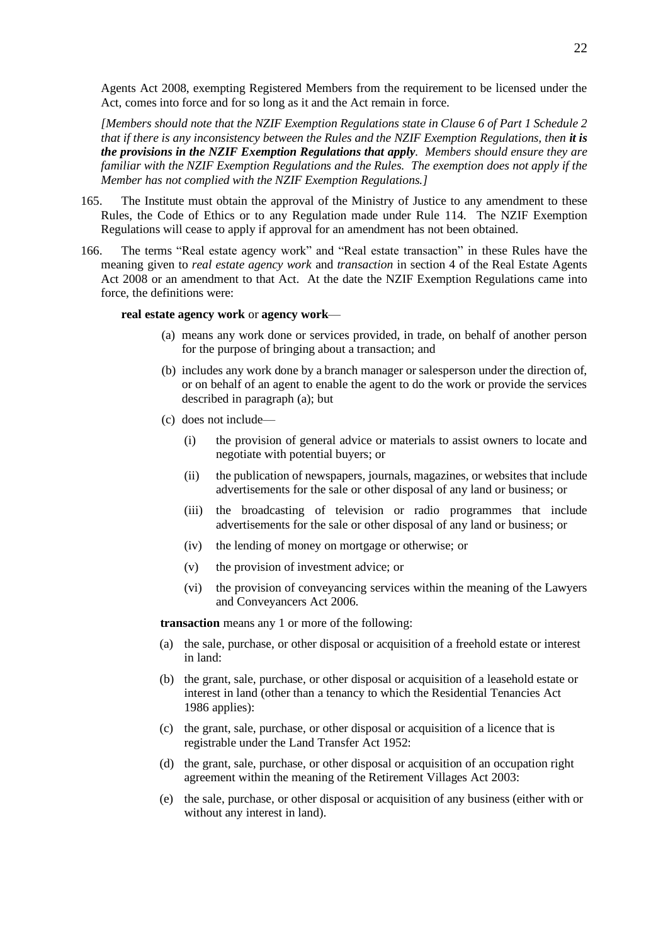Agents Act 2008, exempting Registered Members from the requirement to be licensed under the Act, comes into force and for so long as it and the Act remain in force.

*[Members should note that the NZIF Exemption Regulations state in Clause 6 of Part 1 Schedule 2 that if there is any inconsistency between the Rules and the NZIF Exemption Regulations, then it is the provisions in the NZIF Exemption Regulations that apply. Members should ensure they are familiar with the NZIF Exemption Regulations and the Rules. The exemption does not apply if the Member has not complied with the NZIF Exemption Regulations.]*

- <span id="page-21-0"></span>165. The Institute must obtain the approval of the Ministry of Justice to any amendment to these Rules, the Code of Ethics or to any Regulation made under Rule [114.](#page-15-4) The NZIF Exemption Regulations will cease to apply if approval for an amendment has not been obtained.
- 166. The terms "Real estate agency work" and "Real estate transaction" in these Rules have the meaning given to *real estate agency work* and *transaction* in section 4 of the Real Estate Agents Act 2008 or an amendment to that Act. At the date the NZIF Exemption Regulations came into force, the definitions were:

#### **real estate agency work** or **agency work**—

- (a) means any work done or services provided, in trade, on behalf of another person for the purpose of bringing about a transaction; and
- (b) includes any work done by a branch manager or salesperson under the direction of, or on behalf of an agent to enable the agent to do the work or provide the services described in paragraph (a); but
- (c) does not include—
	- (i) the provision of general advice or materials to assist owners to locate and negotiate with potential buyers; or
	- (ii) the publication of newspapers, journals, magazines, or websites that include advertisements for the sale or other disposal of any land or business; or
	- (iii) the broadcasting of television or radio programmes that include advertisements for the sale or other disposal of any land or business; or
	- (iv) the lending of money on mortgage or otherwise; or
	- (v) the provision of investment advice; or
	- (vi) the provision of conveyancing services within the meaning of the Lawyers and Conveyancers Act 2006.

**transaction** means any 1 or more of the following:

- (a) the sale, purchase, or other disposal or acquisition of a freehold estate or interest in land:
- (b) the grant, sale, purchase, or other disposal or acquisition of a leasehold estate or interest in land (other than a tenancy to which the Residential Tenancies Act 1986 applies):
- (c) the grant, sale, purchase, or other disposal or acquisition of a licence that is registrable under the Land Transfer Act 1952:
- (d) the grant, sale, purchase, or other disposal or acquisition of an occupation right agreement within the meaning of the Retirement Villages Act 2003:
- (e) the sale, purchase, or other disposal or acquisition of any business (either with or without any interest in land).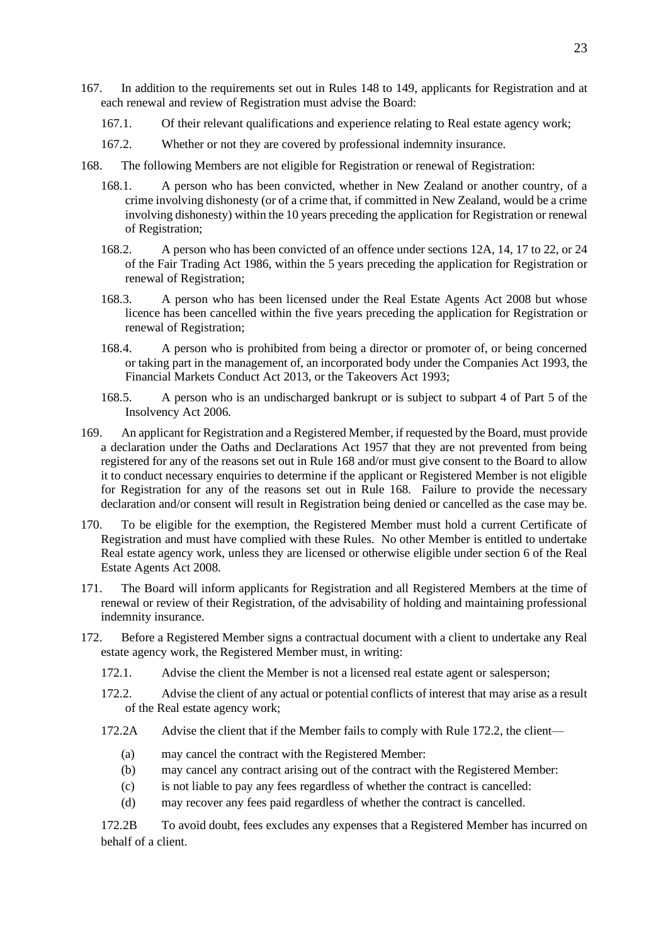- 167. In addition to the requirements set out in Rules [148](#page-19-4) to [149,](#page-19-5) applicants for Registration and at each renewal and review of Registration must advise the Board:
	- 167.1. Of their relevant qualifications and experience relating to Real estate agency work;
	- 167.2. Whether or not they are covered by professional indemnity insurance.
- <span id="page-22-0"></span>168. The following Members are not eligible for Registration or renewal of Registration:
	- 168.1. A person who has been convicted, whether in New Zealand or another country, of a crime involving dishonesty (or of a crime that, if committed in New Zealand, would be a crime involving dishonesty) within the 10 years preceding the application for Registration or renewal of Registration;
	- 168.2. A person who has been convicted of an offence under sections 12A, 14, 17 to 22, or 24 of the Fair Trading Act 1986, within the 5 years preceding the application for Registration or renewal of Registration;
	- 168.3. A person who has been licensed under the Real Estate Agents Act 2008 but whose licence has been cancelled within the five years preceding the application for Registration or renewal of Registration;
	- 168.4. A person who is prohibited from being a director or promoter of, or being concerned or taking part in the management of, an incorporated body under the Companies Act 1993, the Financial Markets Conduct Act 2013, or the Takeovers Act 1993;
	- 168.5. A person who is an undischarged bankrupt or is subject to subpart 4 of Part 5 of the Insolvency Act 2006.
- 169. An applicant for Registration and a Registered Member, if requested by the Board, must provide a declaration under the Oaths and Declarations Act 1957 that they are not prevented from being registered for any of the reasons set out in Rule [168](#page-22-0) and/or must give consent to the Board to allow it to conduct necessary enquiries to determine if the applicant or Registered Member is not eligible for Registration for any of the reasons set out in Rule [168.](#page-22-0) Failure to provide the necessary declaration and/or consent will result in Registration being denied or cancelled as the case may be.
- 170. To be eligible for the exemption, the Registered Member must hold a current Certificate of Registration and must have complied with these Rules. No other Member is entitled to undertake Real estate agency work, unless they are licensed or otherwise eligible under section 6 of the Real Estate Agents Act 2008.
- 171. The Board will inform applicants for Registration and all Registered Members at the time of renewal or review of their Registration, of the advisability of holding and maintaining professional indemnity insurance.
- <span id="page-22-1"></span>172. Before a Registered Member signs a contractual document with a client to undertake any Real estate agency work, the Registered Member must, in writing:
	- 172.1. Advise the client the Member is not a licensed real estate agent or salesperson;
	- 172.2. Advise the client of any actual or potential conflicts of interest that may arise as a result of the Real estate agency work;
	- 172.2A Advise the client that if the Member fails to comply with Rule 172.2, the client—
		- (a) may cancel the contract with the Registered Member:
		- (b) may cancel any contract arising out of the contract with the Registered Member:
		- (c) is not liable to pay any fees regardless of whether the contract is cancelled:
		- (d) may recover any fees paid regardless of whether the contract is cancelled.

172.2B To avoid doubt, fees excludes any expenses that a Registered Member has incurred on behalf of a client.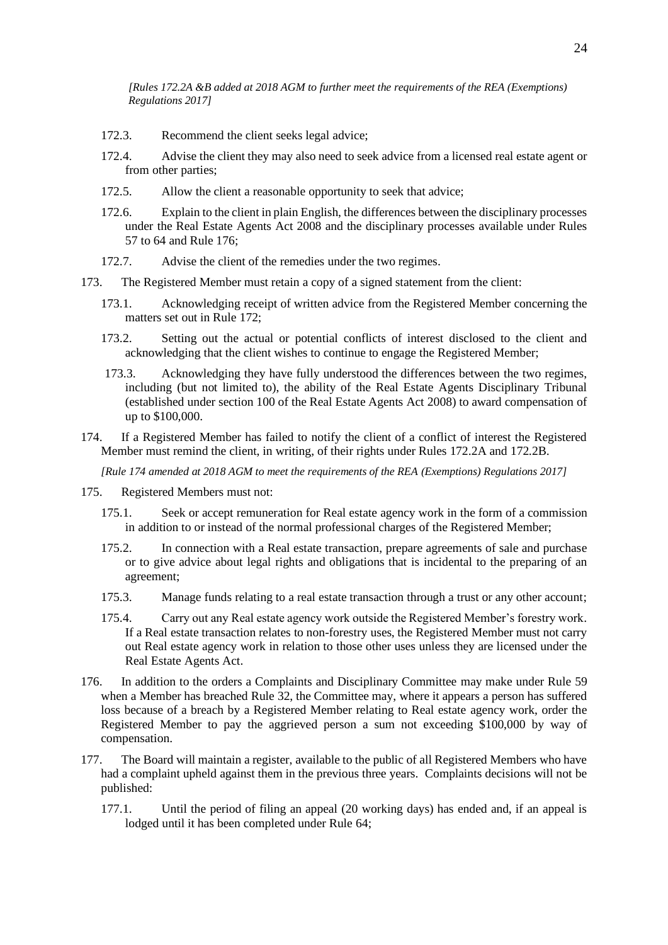*[Rules 172.2A &B added at 2018 AGM to further meet the requirements of the REA (Exemptions) Regulations 2017]*

- 172.3. Recommend the client seeks legal advice;
- 172.4. Advise the client they may also need to seek advice from a licensed real estate agent or from other parties;
- 172.5. Allow the client a reasonable opportunity to seek that advice;
- 172.6. Explain to the client in plain English, the differences between the disciplinary processes under the Real Estate Agents Act 2008 and the disciplinary processes available under Rules [57](#page-9-8) t[o 64](#page-10-7) and Rul[e 176;](#page-23-0)
- 172.7. Advise the client of the remedies under the two regimes.
- 173. The Registered Member must retain a copy of a signed statement from the client:
	- 173.1. Acknowledging receipt of written advice from the Registered Member concerning the matters set out in Rule [172;](#page-22-1)
	- 173.2. Setting out the actual or potential conflicts of interest disclosed to the client and acknowledging that the client wishes to continue to engage the Registered Member;
	- 173.3. Acknowledging they have fully understood the differences between the two regimes, including (but not limited to), the ability of the Real Estate Agents Disciplinary Tribunal (established under section 100 of the Real Estate Agents Act 2008) to award compensation of up to \$100,000.
- 174. If a Registered Member has failed to notify the client of a conflict of interest the Registered Member must remind the client, in writing, of their rights under Rules 172.2A and 172.2B.

*[Rule 174 amended at 2018 AGM to meet the requirements of the REA (Exemptions) Regulations 2017]*

- 175. Registered Members must not:
	- 175.1. Seek or accept remuneration for Real estate agency work in the form of a commission in addition to or instead of the normal professional charges of the Registered Member;
	- 175.2. In connection with a Real estate transaction, prepare agreements of sale and purchase or to give advice about legal rights and obligations that is incidental to the preparing of an agreement;
	- 175.3. Manage funds relating to a real estate transaction through a trust or any other account;
	- 175.4. Carry out any Real estate agency work outside the Registered Member's forestry work. If a Real estate transaction relates to non-forestry uses, the Registered Member must not carry out Real estate agency work in relation to those other uses unless they are licensed under the Real Estate Agents Act.
- <span id="page-23-0"></span>176. In addition to the orders a Complaints and Disciplinary Committee may make under Rule [59](#page-9-7) when a Member has breached Rule [32,](#page-7-2) the Committee may, where it appears a person has suffered loss because of a breach by a Registered Member relating to Real estate agency work, order the Registered Member to pay the aggrieved person a sum not exceeding \$100,000 by way of compensation.
- <span id="page-23-1"></span>177. The Board will maintain a register, available to the public of all Registered Members who have had a complaint upheld against them in the previous three years. Complaints decisions will not be published:
	- 177.1. Until the period of filing an appeal (20 working days) has ended and, if an appeal is lodged until it has been completed under Rule [64;](#page-10-7)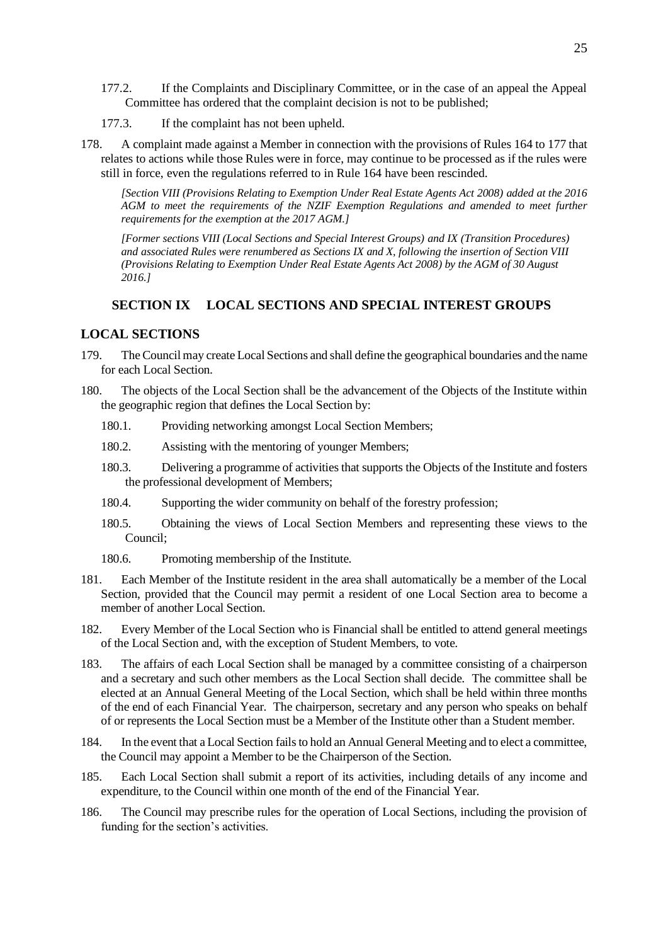- 177.2. If the Complaints and Disciplinary Committee, or in the case of an appeal the Appeal Committee has ordered that the complaint decision is not to be published;
- 177.3. If the complaint has not been upheld.
- <span id="page-24-3"></span>178. A complaint made against a Member in connection with the provisions of Rules [164](#page-20-9) to [177](#page-23-1) that relates to actions while those Rules were in force, may continue to be processed as if the rules were still in force, even the regulations referred to in Rul[e 164](#page-20-9) have been rescinded.

*[Section VIII (Provisions Relating to Exemption Under Real Estate Agents Act 2008) added at the 2016 AGM to meet the requirements of the NZIF Exemption Regulations and amended to meet further requirements for the exemption at the 2017 AGM.]*

*[Former sections VIII (Local Sections and Special Interest Groups) and IX (Transition Procedures) and associated Rules were renumbered as Sections IX and X, following the insertion of Section VIII (Provisions Relating to Exemption Under Real Estate Agents Act 2008) by the AGM of 30 August 2016.]*

# <span id="page-24-0"></span>**SECTION IX LOCAL SECTIONS AND SPECIAL INTEREST GROUPS**

## <span id="page-24-1"></span>**LOCAL SECTIONS**

- <span id="page-24-2"></span>179. The Council may create Local Sections and shall define the geographical boundaries and the name for each Local Section.
- 180. The objects of the Local Section shall be the advancement of the Objects of the Institute within the geographic region that defines the Local Section by:
	- 180.1. Providing networking amongst Local Section Members;
	- 180.2. Assisting with the mentoring of younger Members;
	- 180.3. Delivering a programme of activities that supports the Objects of the Institute and fosters the professional development of Members;
	- 180.4. Supporting the wider community on behalf of the forestry profession;
	- 180.5. Obtaining the views of Local Section Members and representing these views to the Council;
	- 180.6. Promoting membership of the Institute.
- 181. Each Member of the Institute resident in the area shall automatically be a member of the Local Section, provided that the Council may permit a resident of one Local Section area to become a member of another Local Section.
- 182. Every Member of the Local Section who is Financial shall be entitled to attend general meetings of the Local Section and, with the exception of Student Members, to vote.
- 183. The affairs of each Local Section shall be managed by a committee consisting of a chairperson and a secretary and such other members as the Local Section shall decide. The committee shall be elected at an Annual General Meeting of the Local Section, which shall be held within three months of the end of each Financial Year. The chairperson, secretary and any person who speaks on behalf of or represents the Local Section must be a Member of the Institute other than a Student member.
- 184. In the event that a Local Section fails to hold an Annual General Meeting and to elect a committee, the Council may appoint a Member to be the Chairperson of the Section.
- 185. Each Local Section shall submit a report of its activities, including details of any income and expenditure, to the Council within one month of the end of the Financial Year.
- 186. The Council may prescribe rules for the operation of Local Sections, including the provision of funding for the section's activities.